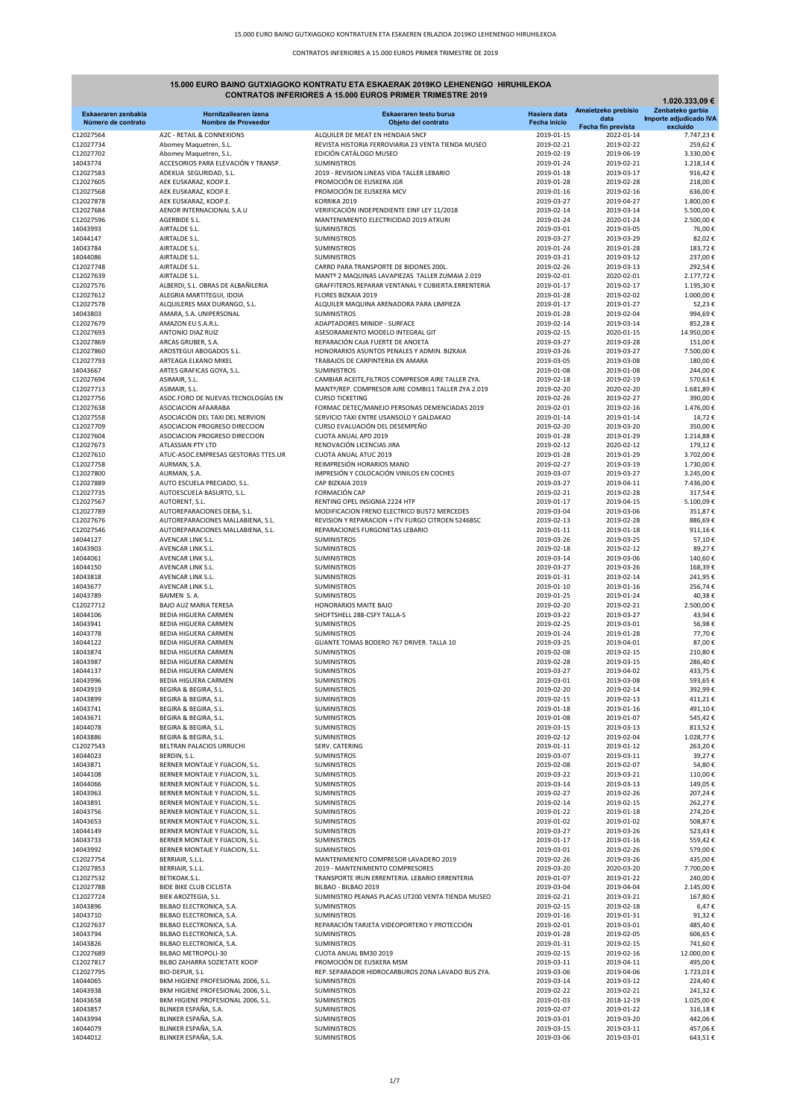# 15.000 EURO BAINO GUTXIAGOKO KONTRATU ETA ESKAERAK 2019KO LEHENENGO HIRUHILEKOA

| <b>CONTRATOS INFERIORES A 15.000 EUROS PRIMER TRIMESTRE 2019</b><br>1.020.333,09 € |                                                                    |                                                                                       |                            |                                  |                                            |
|------------------------------------------------------------------------------------|--------------------------------------------------------------------|---------------------------------------------------------------------------------------|----------------------------|----------------------------------|--------------------------------------------|
| Eskaeraren zenbakia                                                                | Hornitzailearen izena                                              | Eskaeraren testu burua                                                                | Hasiera data               | Amaietzeko prebisio<br>data      | Zenbateko garbia<br>Importe adjudicado IVA |
| Número de contrato<br>C12027564                                                    | Nombre de Proveedor<br>A2C - RETAIL & CONNEXIONS                   | Objeto del contrato<br>ALQUILER DE MEAT EN HENDAIA SNCF                               | Fecha inicio<br>2019-01-15 | Fecha fin prevista<br>2022-01-14 | excluído<br>7.747,23€                      |
| C12027734                                                                          | Abomey Maquetren, S.L.                                             | REVISTA HISTORIA FERROVIARIA 23 VENTA TIENDA MUSEO                                    | 2019-02-21                 | 2019-02-22                       | 259,62€                                    |
| C12027702                                                                          | Abomey Maquetren, S.L.                                             | EDICIÓN CATÁLOGO MUSEO                                                                | 2019-02-19                 | 2019-06-19                       | 3.330,00€                                  |
| 14043774<br>C12027583                                                              | ACCESORIOS PARA ELEVACIÓN Y TRANSP.                                | <b>SUMINISTROS</b>                                                                    | 2019-01-24<br>2019-01-18   | 2019-02-21<br>2019-03-17         | 1.218.14€<br>916,42€                       |
| C12027605                                                                          | ADEKUA SEGURIDAD, S.L.<br>AEK EUSKARAZ, KOOP.E.                    | 2019 - REVISION LINEAS VIDA TALLER LEBARIO<br>PROMOCIÓN DE EUSKERA JGR                | 2019-01-28                 | 2019-02-28                       | 218,00€                                    |
| C12027568                                                                          | AEK EUSKARAZ, KOOP.E.                                              | PROMOCIÓN DE EUSKERA MCV                                                              | 2019-01-16                 | 2019-02-16                       | 636,00€                                    |
| C12027878                                                                          | AEK EUSKARAZ, KOOP.E.                                              | KORRIKA 2019                                                                          | 2019-03-27                 | 2019-04-27                       | 1.800,00€                                  |
| C12027684<br>C12027596                                                             | AENOR INTERNACIONAL S.A.U<br>AGERBIDE S.L.                         | VERIFICACIÓN INDEPENDIENTE EINF LEY 11/2018<br>MANTENIMIENTO ELECTRICIDAD 2019 ATXURI | 2019-02-14<br>2019-01-24   | 2019-03-14<br>2020-01-24         | 5.500,00€<br>2.500,00€                     |
| 14043993                                                                           | AIRTALDE S.L.                                                      | <b>SUMINISTROS</b>                                                                    | 2019-03-01                 | 2019-03-05                       | 76,00€                                     |
| 14044147                                                                           | AIRTALDE S.L.                                                      | <b>SUMINISTROS</b>                                                                    | 2019-03-27                 | 2019-03-29                       | 82,02€                                     |
| 14043784<br>14044086                                                               | AIRTALDE S.L.<br>AIRTALDE S.L.                                     | SUMINISTROS<br><b>SUMINISTROS</b>                                                     | 2019-01-24<br>2019-03-21   | 2019-01-28<br>2019-03-12         | 183,72€<br>237,00€                         |
| C12027748                                                                          | AIRTALDE S.L.                                                      | CARRO PARA TRANSPORTE DE BIDONES 200L.                                                | 2019-02-26                 | 2019-03-13                       | 292,54€                                    |
| C12027639                                                                          | AIRTALDE S.L.                                                      | MANTº 2 MAQUINAS LAVAPIEZAS TALLER ZUMAIA 2.019                                       | 2019-02-01                 | 2020-02-01                       | 2.177,72€                                  |
| C12027576                                                                          | ALBERDI, S.L. OBRAS DE ALBAÑILERIA                                 | GRAFFITEROS.REPARAR VENTANAL Y CUBIERTA.ERRENTERIA                                    | 2019-01-17                 | 2019-02-17                       | 1.195,30€                                  |
| C12027612<br>C12027578                                                             | ALEGRIA MARTITEGUI, IDOIA<br>ALQUILERES MAX DURANGO, S.L.          | FLORES BIZKAIA 2019<br>ALQUILER MAQUINA ARENADORA PARA LIMPIEZA                       | 2019-01-28<br>2019-01-17   | 2019-02-02<br>2019-01-27         | 1.000,00€<br>52,23€                        |
| 14043803                                                                           | AMARA, S.A. UNIPERSONAL                                            | <b>SUMINISTROS</b>                                                                    | 2019-01-28                 | 2019-02-04                       | 994,69€                                    |
| C12027679                                                                          | AMAZON EU S.A.R.L.                                                 | ADAPTADORES MINIDP - SURFACE                                                          | 2019-02-14                 | 2019-03-14                       | 852,28€                                    |
| C12027693                                                                          | ANTONIO DIAZ RUIZ                                                  | ASESORAMIENTO MODELO INTEGRAL GIT                                                     | 2019-02-15                 | 2020-01-15                       | 14.950,00€                                 |
| C12027869<br>C12027860                                                             | ARCAS GRUBER, S.A.<br>AROSTEGUI ABOGADOS S.L.                      | REPARACIÓN CAJA FUERTE DE ANOETA<br>HONORARIOS ASUNTOS PENALES Y ADMIN. BIZKAIA       | 2019-03-27<br>2019-03-26   | 2019-03-28<br>2019-03-27         | 151,00€<br>7.500,00€                       |
| C12027793                                                                          | ARTEAGA ELKANO MIKEL                                               | TRABAJOS DE CARPINTERIA EN AMARA                                                      | 2019-03-05                 | 2019-03-08                       | 180,00€                                    |
| 14043667                                                                           | ARTES GRAFICAS GOYA, S.L.                                          | <b>SUMINISTROS</b>                                                                    | 2019-01-08                 | 2019-01-08                       | 244.00€                                    |
| C12027694                                                                          | ASIMAIR, S.L.                                                      | CAMBIAR ACEITE, FILTROS COMPRESOR AIRE TALLER ZYA.                                    | 2019-02-18                 | 2019-02-19                       | 570,63€                                    |
| C12027713<br>C12027756                                                             | ASIMAIR, S.L.<br>ASOC.FORO DE NUEVAS TECNOLOGÍAS EN                | MANTº/REP. COMPRESOR AIRE COMBI11 TALLER ZYA 2.019<br><b>CURSO TICKETING</b>          | 2019-02-20<br>2019-02-26   | 2020-02-20<br>2019-02-27         | 1.681,89€<br>390,00€                       |
| C12027638                                                                          | ASOCIACION AFAARABA                                                | FORMAC DETEC/MANEJO PERSONAS DEMENCIADAS 2019                                         | 2019-02-01                 | 2019-02-16                       | 1.476,00€                                  |
| C12027558                                                                          | ASOCIACIÓN DEL TAXI DEL NERVION                                    | SERVICIO TAXI ENTRE USANSOLO Y GALDAKAO                                               | 2019-01-14                 | 2019-01-14                       | 14,72€                                     |
| C12027709                                                                          | ASOCIACION PROGRESO DIRECCION                                      | CURSO EVALUACIÓN DEL DESEMPEÑO                                                        | 2019-02-20                 | 2019-03-20                       | 350,00€                                    |
| C12027604<br>C12027673                                                             | ASOCIACION PROGRESO DIRECCION<br>ATLASSIAN PTY LTD                 | CUOTA ANUAL APD 2019<br>RENOVACIÓN LICENCIAS JIRA                                     | 2019-01-28<br>2019-02-12   | 2019-01-29<br>2020-02-12         | 1.214,88€<br>179,12€                       |
| C12027610                                                                          | ATUC-ASOC.EMPRESAS GESTORAS TTES.UR                                | <b>CUOTA ANUAL ATUC 2019</b>                                                          | 2019-01-28                 | 2019-01-29                       | 3.702,00€                                  |
| C12027758                                                                          | AURMAN, S.A.                                                       | REIMPRESIÓN HORARIOS MANO                                                             | 2019-02-27                 | 2019-03-19                       | 1.730,00€                                  |
| C12027800                                                                          | AURMAN, S.A.                                                       | IMPRESIÓN Y COLOCACIÓN VINILOS EN COCHES                                              | 2019-03-07                 | 2019-03-27                       | 3.245,00€                                  |
| C12027889<br>C12027735                                                             | AUTO ESCUELA PRECIADO, S.L.<br>AUTOESCUELA BASURTO, S.L.           | CAP BIZKAIA 2019<br>FORMACIÓN CAP                                                     | 2019-03-27<br>2019-02-21   | 2019-04-11<br>2019-02-28         | 7.436,00€<br>317,54€                       |
| C12027567                                                                          | AUTORENT, S.L.                                                     | RENTING OPEL INSIGNIA 2224 HTP                                                        | 2019-01-17                 | 2019-04-15                       | 5.100,09€                                  |
| C12027789                                                                          | AUTOREPARACIONES DEBA, S.L.                                        | MODIFICACION FRENO ELECTRICO BUS72 MERCEDES                                           | 2019-03-04                 | 2019-03-06                       | 351,87€                                    |
| C12027676                                                                          | AUTOREPARACIONES MALLABIENA, S.L.                                  | REVISION Y REPARACION + ITV FURGO CITROEN 5246BSC                                     | 2019-02-13                 | 2019-02-28                       | 886,69€                                    |
| C12027546                                                                          | AUTOREPARACIONES MALLABIENA, S.L.<br>AVENCAR LINK S.L.             | REPARACIONES FURGONETAS LEBARIO<br><b>SUMINISTROS</b>                                 | 2019-01-11<br>2019-03-26   | 2019-01-18<br>2019-03-25         | 911,16€<br>57,10€                          |
| 14044127<br>14043903                                                               | AVENCAR LINK S.L.                                                  | <b>SUMINISTROS</b>                                                                    | 2019-02-18                 | 2019-02-12                       | 89,27€                                     |
| 14044061                                                                           | AVENCAR LINK S.L.                                                  | <b>SUMINISTROS</b>                                                                    | 2019-03-14                 | 2019-03-06                       | 140,60€                                    |
| 14044150                                                                           | AVENCAR LINK S.L.                                                  | <b>SUMINISTROS</b>                                                                    | 2019-03-27                 | 2019-03-26                       | 168,39€                                    |
| 14043818                                                                           | AVENCAR LINK S.L.                                                  | <b>SUMINISTROS</b>                                                                    | 2019-01-31<br>2019-01-10   | 2019-02-14<br>2019-01-16         | 241,95€                                    |
| 14043677<br>14043789                                                               | AVENCAR LINK S.L.<br>BAIMEN S.A.                                   | SUMINISTROS<br><b>SUMINISTROS</b>                                                     | 2019-01-25                 | 2019-01-24                       | 256,74€<br>40,38€                          |
| C12027712                                                                          | <b>BAJO AUZ MARIA TERESA</b>                                       | HONORARIOS MAITE BAJO                                                                 | 2019-02-20                 | 2019-02-21                       | 2.500,00€                                  |
| 14044106                                                                           | <b>BEDIA HIGUERA CARMEN</b>                                        | SHOFTSHELL 288-CSFY TALLA-S                                                           | 2019-03-22                 | 2019-03-27                       | 43,94€                                     |
| 14043941<br>14043778                                                               | BEDIA HIGUERA CARMEN<br><b>BEDIA HIGUERA CARMEN</b>                | <b>SUMINISTROS</b><br><b>SUMINISTROS</b>                                              | 2019-02-25<br>2019-01-24   | 2019-03-01<br>2019-01-28         | 56,98€                                     |
| 14044122                                                                           | <b>BEDIA HIGUERA CARMEN</b>                                        | GUANTE TOMAS BODERO 767 DRIVER. TALLA 10                                              | 2019-03-25                 | 2019-04-01                       | 77,70€<br>87,00€                           |
| 14043874                                                                           | BEDIA HIGUERA CARMEN                                               | SUMINISTROS                                                                           | 2019-02-08                 | 2019-02-15                       | 210,80€                                    |
| 14043987                                                                           | <b>BEDIA HIGUERA CARMEN</b>                                        | <b>SUMINISTROS</b>                                                                    | 2019-02-28                 | 2019-03-15                       | 286,40€                                    |
| 14044137<br>14043996                                                               | <b>BEDIA HIGUERA CARMEN</b><br><b>BEDIA HIGUERA CARMEN</b>         | <b>SUMINISTROS</b><br><b>SUMINISTROS</b>                                              | 2019-03-27<br>2019-03-01   | 2019-04-02<br>2019-03-08         | 433,75€<br>593,65€                         |
| 14043919                                                                           | BEGIRA & BEGIRA. S.L.                                              | SUMINISTROS                                                                           | 2019-02-20                 | 2019-02-14                       | 392,99€                                    |
| 14043899                                                                           | BEGIRA & BEGIRA, S.L.                                              | SUMINISTROS                                                                           | 2019-02-15                 | 2019-02-13                       | 411,21€                                    |
| 14043741                                                                           | BEGIRA & BEGIRA, S.L.                                              | SUMINISTROS                                                                           | 2019-01-18                 | 2019-01-16                       | 491,10€                                    |
| 14043671<br>14044078                                                               | BEGIRA & BEGIRA, S.L.<br>BEGIRA & BEGIRA, S.L.                     | SUMINISTROS<br>SUMINISTROS                                                            | 2019-01-08<br>2019-03-15   | 2019-01-07<br>2019-03-13         | 545,42€<br>813,52€                         |
| 14043886                                                                           | BEGIRA & BEGIRA, S.L.                                              | <b>SUMINISTROS</b>                                                                    | 2019-02-12                 | 2019-02-04                       | 1.028,77€                                  |
| C12027543                                                                          | BELTRAN PALACIOS URRUCHI                                           | SERV. CATERING                                                                        | 2019-01-11                 | 2019-01-12                       | 263,20€                                    |
| 14044023                                                                           | BERDIN, S.L.                                                       | SUMINISTROS                                                                           | 2019-03-07                 | 2019-03-11                       | 39,27€                                     |
| 14043871<br>14044108                                                               | BERNER MONTAJE Y FIJACION, S.L.<br>BERNER MONTAJE Y FIJACION, S.L. | <b>SUMINISTROS</b><br>SUMINISTROS                                                     | 2019-02-08<br>2019-03-22   | 2019-02-07<br>2019-03-21         | 54,80€<br>110,00€                          |
| 14044066                                                                           | BERNER MONTAJE Y FIJACION, S.L.                                    | SUMINISTROS                                                                           | 2019-03-14                 | 2019-03-13                       | 149,05€                                    |
| 14043963                                                                           | BERNER MONTAJE Y FIJACION, S.L.                                    | SUMINISTROS                                                                           | 2019-02-27                 | 2019-02-26                       | 207,24€                                    |
| 14043891                                                                           | BERNER MONTAJE Y FIJACION, S.L.                                    | SUMINISTROS                                                                           | 2019-02-14                 | 2019-02-15                       | 262,27€                                    |
| 14043756<br>14043653                                                               | BERNER MONTAJE Y FIJACION, S.L.<br>BERNER MONTAJE Y FIJACION, S.L. | SUMINISTROS<br>SUMINISTROS                                                            | 2019-01-22<br>2019-01-02   | 2019-01-18<br>2019-01-02         | 274,20€<br>508,87€                         |
| 14044149                                                                           | BERNER MONTAJE Y FIJACION, S.L.                                    | SUMINISTROS                                                                           | 2019-03-27                 | 2019-03-26                       | 523,43€                                    |
| 14043733                                                                           | BERNER MONTAJE Y FIJACION, S.L.                                    | <b>SUMINISTROS</b>                                                                    | 2019-01-17                 | 2019-01-16                       | 559,42€                                    |
| 14043992                                                                           | BERNER MONTAJE Y FIJACION, S.L.                                    | <b>SUMINISTROS</b>                                                                    | 2019-03-01                 | 2019-02-26                       | 579,00€                                    |
| C12027754<br>C12027853                                                             | BERRIAIR, S.L.L.<br>BERRIAIR, S.L.L.                               | MANTENIMIENTO COMPRESOR LAVADERO 2019<br>2019 - MANTENIMIENTO COMPRESORES             | 2019-02-26<br>2019-03-20   | 2019-03-26<br>2020-03-20         | 435,00€<br>7.700,00€                       |
| C12027532                                                                          | BETIKOAK.S.L.                                                      | TRANSPORTE IRUN ERRENTERIA. LEBARIO ERRENTERIA                                        | 2019-01-07                 | 2019-01-22                       | 240,00€                                    |
| C12027788                                                                          | <b>BIDE BIKE CLUB CICLISTA</b>                                     | BILBAO - BILBAO 2019                                                                  | 2019-03-04                 | 2019-04-04                       | 2.145,00€                                  |
| C12027724                                                                          | BIEK AROZTEGIA, S.L.                                               | SUMINISTRO PEANAS PLACAS UT200 VENTA TIENDA MUSEO                                     | 2019-02-21                 | 2019-03-21                       | 167,80€                                    |
| 14043896<br>14043710                                                               | BILBAO ELECTRONICA, S.A.<br>BILBAO ELECTRONICA, S.A.               | <b>SUMINISTROS</b><br>SUMINISTROS                                                     | 2019-02-15<br>2019-01-16   | 2019-02-18<br>2019-01-31         | 6,47€<br>91,32€                            |
| C12027637                                                                          | BILBAO ELECTRONICA, S.A.                                           | REPARACIÓN TARJETA VIDEOPORTERO Y PROTECCIÓN                                          | 2019-02-01                 | 2019-03-01                       | 485,40€                                    |
| 14043794                                                                           | BILBAO ELECTRONICA, S.A.                                           | <b>SUMINISTROS</b>                                                                    | 2019-01-28                 | 2019-02-05                       | 606,65€                                    |
| 14043826                                                                           | BILBAO ELECTRONICA, S.A.                                           | <b>SUMINISTROS</b>                                                                    | 2019-01-31                 | 2019-02-15                       | 741,60€                                    |
| C12027689                                                                          | BILBAO METROPOLI-30                                                | CUOTA ANUAL BM30 2019<br>PROMOCIÓN DE EUSKERA MSM                                     | 2019-02-15                 | 2019-02-16                       | 12.000,00€                                 |
| C12027817<br>C12027795                                                             | BILBO ZAHARRA SOZIETATE KOOP<br>BIO-DEPUR, S.L                     | REP. SEPARADOR HIDROCARBUROS ZONA LAVADO BUS ZYA.                                     | 2019-03-11<br>2019-03-06   | 2019-04-11<br>2019-04-06         | 495,00€<br>1.723,03€                       |
| 14044065                                                                           | BKM HIGIENE PROFESIONAL 2006, S.L.                                 | <b>SUMINISTROS</b>                                                                    | 2019-03-14                 | 2019-03-12                       | 224,40€                                    |
| 14043938                                                                           | BKM HIGIENE PROFESIONAL 2006, S.L.                                 | SUMINISTROS                                                                           | 2019-02-22                 | 2019-02-21                       | 241,32€                                    |
| 14043658                                                                           | BKM HIGIENE PROFESIONAL 2006, S.L.<br>BLINKER ESPAÑA, S.A.         | SUMINISTROS<br><b>SUMINISTROS</b>                                                     | 2019-01-03<br>2019-02-07   | 2018-12-19<br>2019-01-22         | 1.025,00 €                                 |
| 14043857<br>14043994                                                               | BLINKER ESPAÑA, S.A.                                               | <b>SUMINISTROS</b>                                                                    | 2019-03-01                 | 2019-03-20                       | 316,18€<br>442,06€                         |
| 14044079                                                                           | BLINKER ESPAÑA, S.A.                                               | SUMINISTROS                                                                           | 2019-03-15                 | 2019-03-11                       | 457,06€                                    |
| 14044012                                                                           | BLINKER ESPAÑA, S.A.                                               | SUMINISTROS                                                                           | 2019-03-06                 | 2019-03-01                       | 643,51€                                    |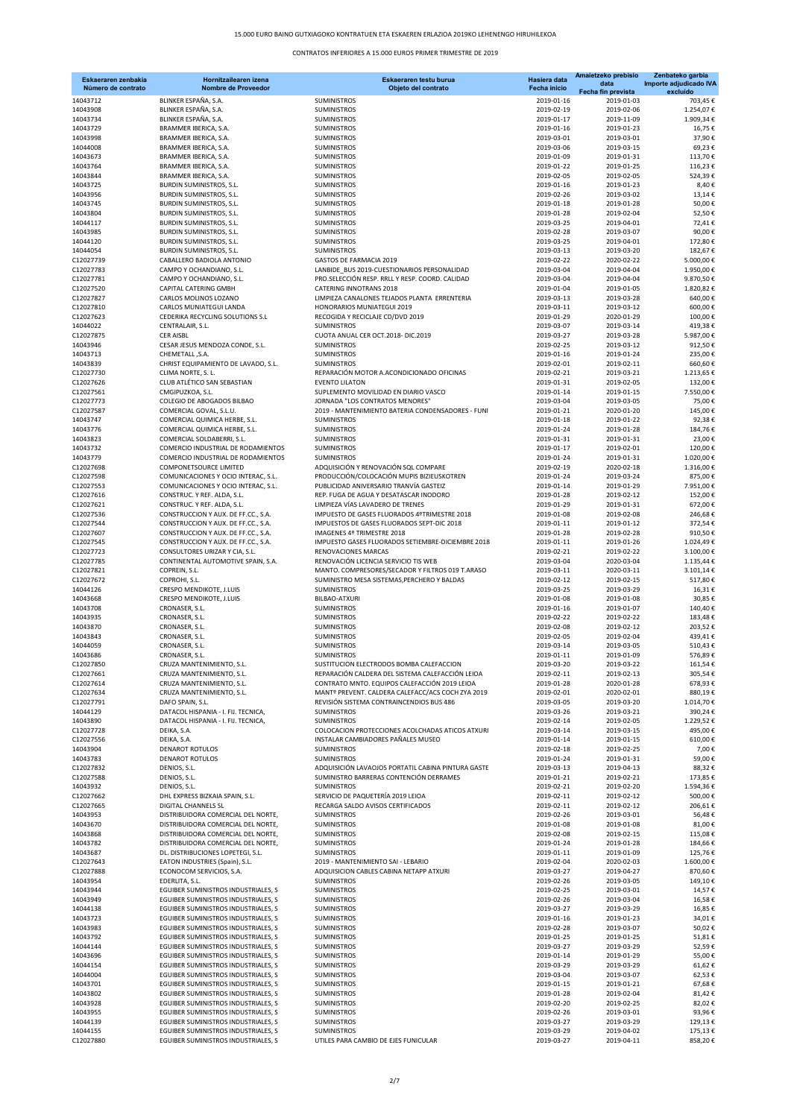| Eskaeraren zenbakia<br>Número de contrato | Hornitzailearen izena<br><b>Nombre de Proveedor</b>                        | Eskaeraren testu burua<br>Objeto del contrato                                                     | Hasiera data<br>Fecha inicio | Amaietzeko prebisio<br>data      | Zenbateko garbia<br>Importe adjudicado IVA<br>excluído |
|-------------------------------------------|----------------------------------------------------------------------------|---------------------------------------------------------------------------------------------------|------------------------------|----------------------------------|--------------------------------------------------------|
| 14043712                                  | BLINKER ESPAÑA, S.A.                                                       | <b>SUMINISTROS</b>                                                                                | 2019-01-16                   | Fecha fin prevista<br>2019-01-03 | 703,45€                                                |
| 14043908                                  | BLINKER ESPAÑA, S.A.                                                       | <b>SUMINISTROS</b>                                                                                | 2019-02-19                   | 2019-02-06                       | 1.254,07€                                              |
| 14043734<br>14043729                      | BLINKER ESPAÑA, S.A.<br>BRAMMER IBERICA, S.A.                              | <b>SUMINISTROS</b><br><b>SUMINISTROS</b>                                                          | 2019-01-17<br>2019-01-16     | 2019-11-09<br>2019-01-23         | 1.909,34€<br>16,75€                                    |
| 14043998                                  | BRAMMER IBERICA, S.A.                                                      | <b>SUMINISTROS</b>                                                                                | 2019-03-01                   | 2019-03-01                       | 37,90€                                                 |
| 14044008                                  | BRAMMER IBERICA, S.A.                                                      | SUMINISTROS                                                                                       | 2019-03-06                   | 2019-03-15                       | 69,23€                                                 |
| 14043673                                  | BRAMMER IBERICA, S.A.                                                      | <b>SUMINISTROS</b>                                                                                | 2019-01-09                   | 2019-01-31                       | 113,70€                                                |
| 14043764<br>14043844                      | BRAMMER IBERICA, S.A.<br>BRAMMER IBERICA, S.A.                             | <b>SUMINISTROS</b><br>SUMINISTROS                                                                 | 2019-01-22<br>2019-02-05     | 2019-01-25<br>2019-02-05         | 116,23€<br>524,39€                                     |
| 14043725                                  | BURDIN SUMINISTROS, S.L.                                                   | SUMINISTROS                                                                                       | 2019-01-16                   | 2019-01-23                       | 8,40€                                                  |
| 14043956                                  | BURDIN SUMINISTROS, S.L.                                                   | <b>SUMINISTROS</b>                                                                                | 2019-02-26                   | 2019-03-02                       | 13,14€                                                 |
| 14043745<br>14043804                      | BURDIN SUMINISTROS, S.L.<br>BURDIN SUMINISTROS, S.L.                       | <b>SUMINISTROS</b><br>SUMINISTROS                                                                 | 2019-01-18<br>2019-01-28     | 2019-01-28<br>2019-02-04         | 50,00€<br>52,50€                                       |
| 14044117                                  | BURDIN SUMINISTROS, S.L.                                                   | <b>SUMINISTROS</b>                                                                                | 2019-03-25                   | 2019-04-01                       | 72,41€                                                 |
| 14043985                                  | BURDIN SUMINISTROS, S.L.                                                   | <b>SUMINISTROS</b>                                                                                | 2019-02-28                   | 2019-03-07                       | 90,00€                                                 |
| 14044120<br>14044054                      | <b>BURDIN SUMINISTROS, S.L.</b><br>BURDIN SUMINISTROS, S.L.                | SUMINISTROS<br>SUMINISTROS                                                                        | 2019-03-25<br>2019-03-13     | 2019-04-01<br>2019-03-20         | 172,80€<br>182,67€                                     |
| C12027739                                 | CABALLERO BADIOLA ANTONIO                                                  | GASTOS DE FARMACIA 2019                                                                           | 2019-02-22                   | 2020-02-22                       | 5.000,00€                                              |
| C12027783                                 | CAMPO Y OCHANDIANO, S.L.                                                   | LANBIDE_BUS 2019-CUESTIONARIOS PERSONALIDAD                                                       | 2019-03-04                   | 2019-04-04                       | 1.950,00€                                              |
| C12027781<br>C12027520                    | CAMPO Y OCHANDIANO, S.L.<br>CAPITAL CATERING GMBH                          | PRO.SELECCIÓN RESP. RRLL Y RESP. COORD. CALIDAD<br>CATERING INNOTRANS 2018                        | 2019-03-04<br>2019-01-04     | 2019-04-04<br>2019-01-05         | 9.870,50€<br>1.820,82€                                 |
| C12027827                                 | CARLOS MOLINOS LOZANO                                                      | LIMPIEZA CANALONES TEJADOS PLANTA ERRENTERIA                                                      | 2019-03-13                   | 2019-03-28                       | 640,00€                                                |
| C12027810                                 | CARLOS MUNIATEGUI LANDA                                                    | HONORARIOS MUNIATEGUI 2019                                                                        | 2019-03-11                   | 2019-03-12                       | 600,00€                                                |
| C12027623                                 | CEDERIKA RECYCLING SOLUTIONS S.L                                           | RECOGIDA Y RECICLAJE CD/DVD 2019<br><b>SUMINISTROS</b>                                            | 2019-01-29                   | 2020-01-29                       | 100,00€                                                |
| 14044022<br>C12027875                     | CENTRALAIR, S.L.<br><b>CER AISBL</b>                                       | CUOTA ANUAL CER OCT.2018- DIC.2019                                                                | 2019-03-07<br>2019-03-27     | 2019-03-14<br>2019-03-28         | 419,38€<br>5.987,00€                                   |
| 14043946                                  | CESAR JESUS MENDOZA CONDE, S.L.                                            | <b>SUMINISTROS</b>                                                                                | 2019-02-25                   | 2019-03-12                       | 912,50€                                                |
| 14043713                                  | CHEMETALL, S.A.                                                            | SUMINISTROS                                                                                       | 2019-01-16                   | 2019-01-24                       | 235,00€                                                |
| 14043839<br>C12027730                     | CHRIST EQUIPAMIENTO DE LAVADO, S.L.<br>CLIMA NORTE, S.L.                   | <b>SUMINISTROS</b><br>REPARACIÓN MOTOR A ACONDICIONADO OFICINAS                                   | 2019-02-01<br>2019-02-21     | 2019-02-11<br>2019-03-21         | 660,60€<br>1.213,65 €                                  |
| C12027626                                 | CLUB ATLÉTICO SAN SEBASTIAN                                                | <b>EVENTO LILATON</b>                                                                             | 2019-01-31                   | 2019-02-05                       | 132,00€                                                |
| C12027561                                 | CMGIPUZKOA, S.L.                                                           | SUPLEMENTO MOVILIDAD EN DIARIO VASCO                                                              | 2019-01-14                   | 2019-01-15                       | 7.550,00€                                              |
| C12027773                                 | COLEGIO DE ABOGADOS BILBAO                                                 | JORNADA "LOS CONTRATOS MENORES"                                                                   | 2019-03-04                   | 2019-03-05                       | 75,00€                                                 |
| C12027587<br>14043747                     | COMERCIAL GOVAL, S.L.U.<br>COMERCIAL QUIMICA HERBE, S.L.                   | 2019 - MANTENIMIENTO BATERIA CONDENSADORES - FUNI<br>SUMINISTROS                                  | 2019-01-21<br>2019-01-18     | 2020-01-20<br>2019-01-22         | 145,00€<br>92,38€                                      |
| 14043776                                  | COMERCIAL QUIMICA HERBE, S.L.                                              | <b>SUMINISTROS</b>                                                                                | 2019-01-24                   | 2019-01-28                       | 184,76€                                                |
| 14043823                                  | COMERCIAL SOLDABERRI, S.L.                                                 | <b>SUMINISTROS</b>                                                                                | 2019-01-31                   | 2019-01-31                       | 23,00€                                                 |
| 14043732                                  | COMERCIO INDUSTRIAL DE RODAMIENTOS                                         | SUMINISTROS<br><b>SUMINISTROS</b>                                                                 | 2019-01-17                   | 2019-02-01                       | 120,00€                                                |
| 14043779<br>C12027698                     | COMERCIO INDUSTRIAL DE RODAMIENTOS<br>COMPONETSOURCE LIMITED               | ADQUISICIÓN Y RENOVACIÓN SQL COMPARE                                                              | 2019-01-24<br>2019-02-19     | 2019-01-31<br>2020-02-18         | 1.020,00€<br>1.316,00€                                 |
| C12027598                                 | COMUNICACIONES Y OCIO INTERAC, S.L.                                        | PRODUCCIÓN/COLOCACIÓN MUPIS BIZIEUSKOTREN                                                         | 2019-01-24                   | 2019-03-24                       | 875,00€                                                |
| C12027553                                 | COMUNICACIONES Y OCIO INTERAC, S.L.                                        | PUBLICIDAD ANIVERSARIO TRANVÍA GASTEIZ                                                            | 2019-01-14                   | 2019-01-29                       | 7.951,00€                                              |
| C12027616<br>C12027621                    | CONSTRUC. Y REF. ALDA, S.L.<br>CONSTRUC. Y REF. ALDA, S.L.                 | REP. FUGA DE AGUA Y DESATASCAR INODORO<br>LIMPIEZA VÍAS LAVADERO DE TRENES                        | 2019-01-28<br>2019-01-29     | 2019-02-12<br>2019-01-31         | 152,00€<br>672,00€                                     |
| C12027536                                 | CONSTRUCCION Y AUX. DE FF.CC., S.A.                                        | IMPUESTO DE GASES FLUORADOS 4ºTRIMESTRE 2018                                                      | 2019-01-08                   | 2019-02-08                       | 246,68€                                                |
| C12027544                                 | CONSTRUCCION Y AUX. DE FF.CC., S.A.                                        | IMPUESTOS DE GASES FLUORADOS SEPT-DIC 2018                                                        | 2019-01-11                   | 2019-01-12                       | 372,54€                                                |
| C12027607                                 | CONSTRUCCION Y AUX. DE FF.CC., S.A.                                        | IMAGENES 4º TRIMESTRE 2018                                                                        | 2019-01-28                   | 2019-02-28                       | 910,50€                                                |
| C12027545<br>C12027723                    | CONSTRUCCION Y AUX. DE FF.CC., S.A.<br>CONSULTORES URIZAR Y CIA, S.L.      | IMPUESTO GASES FLUORADOS SETIEMBRE-DICIEMBRE 2018<br>RENOVACIONES MARCAS                          | 2019-01-11<br>2019-02-21     | 2019-01-26<br>2019-02-22         | 1.024,49€<br>3.100,00€                                 |
| C12027785                                 | CONTINENTAL AUTOMOTIVE SPAIN, S.A.                                         | RENOVACIÓN LICENCIA SERVICIO TIS WEB                                                              | 2019-03-04                   | 2020-03-04                       | 1.135,44 €                                             |
| C12027821                                 | COPREIN, S.L.                                                              | MANTO. COMPRESORES/SECADOR Y FILTROS 019 T.ARASO                                                  | 2019-03-11                   | 2020-03-11                       | 3.101,14€                                              |
| C12027672                                 | COPROHI, S.L.                                                              | SUMINISTRO MESA SISTEMAS, PERCHERO Y BALDAS                                                       | 2019-02-12                   | 2019-02-15                       | 517,80€                                                |
| 14044126<br>14043668                      | <b>CRESPO MENDIKOTE, J.LUIS</b><br>CRESPO MENDIKOTE, J.LUIS                | <b>SUMINISTROS</b><br><b>BILBAO-ATXURI</b>                                                        | 2019-03-25<br>2019-01-08     | 2019-03-29<br>2019-01-08         | 16,31€<br>30,85€                                       |
| 14043708                                  | CRONASER, S.L.                                                             | <b>SUMINISTROS</b>                                                                                | 2019-01-16                   | 2019-01-07                       | 140,40€                                                |
| 14043935                                  | CRONASER, S.L.                                                             | <b>SUMINISTROS</b>                                                                                | 2019-02-22                   | 2019-02-22                       | 183,48€                                                |
| 14043870<br>14043843                      | CRONASER, S.L.<br>CRONASER, S.L.                                           | <b>SUMINISTROS</b><br><b>SUMINISTROS</b>                                                          | 2019-02-08<br>2019-02-05     | 2019-02-12<br>2019-02-04         | 203,52€<br>439.41€                                     |
| 14044059                                  | CRONASER, S.L.                                                             | SUMINISTROS                                                                                       | 2019-03-14                   | 2019-03-05                       | 510,43€                                                |
| 14043686                                  | CRONASER, S.L.                                                             | <b>SUMINISTROS</b>                                                                                | 2019-01-11                   | 2019-01-09                       | 576,89€                                                |
| C12027850                                 | CRUZA MANTENIMIENTO, S.L.                                                  | SUSTITUCION ELECTRODOS BOMBA CALEFACCION                                                          | 2019-03-20                   | 2019-03-22                       | 161,54€                                                |
| C12027661<br>C12027614                    | CRUZA MANTENIMIENTO, S.L.<br>CRUZA MANTENIMIENTO, S.L.                     | REPARACIÓN CALDERA DEL SISTEMA CALEFACCIÓN LEIOA<br>CONTRATO MNTO. EQUIPOS CALEFACCIÓN 2019 LEIOA | 2019-02-11<br>2019-01-28     | 2019-02-13<br>2020-01-28         | 305,54€<br>678,93€                                     |
| C12027634                                 | CRUZA MANTENIMIENTO, S.L.                                                  | MANTº PREVENT. CALDERA CALEFACC/ACS COCH ZYA 2019                                                 | 2019-02-01                   | 2020-02-01                       | 880,19€                                                |
| C12027791                                 | DAFO SPAIN, S.L.                                                           | REVISIÓN SISTEMA CONTRAINCENDIOS BUS 486                                                          | 2019-03-05                   | 2019-03-20                       | 1.014.70€                                              |
| 14044129<br>14043890                      | DATACOL HISPANIA - I. FIJ. TECNICA,<br>DATACOL HISPANIA - I. FIJ. TECNICA, | <b>SUMINISTROS</b><br>SUMINISTROS                                                                 | 2019-03-26<br>2019-02-14     | 2019-03-21<br>2019-02-05         | 390,24€<br>1.229,52€                                   |
| C12027728                                 | DEIKA, S.A.                                                                | COLOCACION PROTECCIONES ACOLCHADAS ATICOS ATXURI                                                  | 2019-03-14                   | 2019-03-15                       | 495,00€                                                |
| C12027556                                 | DEIKA, S.A.                                                                | INSTALAR CAMBIADORES PAÑALES MUSEO                                                                | 2019-01-14                   | 2019-01-15                       | 610,00€                                                |
| 14043904                                  | <b>DENAROT ROTULOS</b>                                                     | <b>SUMINISTROS</b>                                                                                | 2019-02-18                   | 2019-02-25                       | 7,00€                                                  |
| 14043783<br>C12027832                     | <b>DENAROT ROTULOS</b><br>DENIOS, S.L.                                     | SUMINISTROS<br>ADQUISICIÓN LAVAOJOS PORTATIL CABINA PINTURA GASTE                                 | 2019-01-24<br>2019-03-13     | 2019-01-31<br>2019-04-13         | 59,00€<br>88,32€                                       |
| C12027588                                 | DENIOS, S.L.                                                               | SUMINISTRO BARRERAS CONTENCIÓN DERRAMES                                                           | 2019-01-21                   | 2019-02-21                       | 173,85€                                                |
| 14043932                                  | DENIOS, S.L.                                                               | <b>SUMINISTROS</b>                                                                                | 2019-02-21                   | 2019-02-20                       | 1.594,36€                                              |
| C12027662<br>C12027665                    | DHL EXPRESS BIZKAIA SPAIN, S.L.<br>DIGITAL CHANNELS SL                     | SERVICIO DE PAQUETERÍA 2019 LEIOA<br>RECARGA SALDO AVISOS CERTIFICADOS                            | 2019-02-11<br>2019-02-11     | 2019-02-12<br>2019-02-12         | 500,00€<br>206,61€                                     |
| 14043953                                  | DISTRIBUIDORA COMERCIAL DEL NORTE,                                         | <b>SUMINISTROS</b>                                                                                | 2019-02-26                   | 2019-03-01                       | 56,48€                                                 |
| 14043670                                  | DISTRIBUIDORA COMERCIAL DEL NORTE,                                         | SUMINISTROS                                                                                       | 2019-01-08                   | 2019-01-08                       | 81,00€                                                 |
| 14043868                                  | DISTRIBUIDORA COMERCIAL DEL NORTE,                                         | SUMINISTROS                                                                                       | 2019-02-08                   | 2019-02-15                       | 115,08€                                                |
| 14043782<br>14043687                      | DISTRIBUIDORA COMERCIAL DEL NORTE,<br>DL. DISTRIBUCIONES LOPETEGI, S.L.    | <b>SUMINISTROS</b><br><b>SUMINISTROS</b>                                                          | 2019-01-24<br>2019-01-11     | 2019-01-28<br>2019-01-09         | 184,66€<br>125,76€                                     |
| C12027643                                 | EATON INDUSTRIES (Spain), S.L.                                             | 2019 - MANTENIMIENTO SAI - LEBARIO                                                                | 2019-02-04                   | 2020-02-03                       | 1.600,00€                                              |
| C12027888                                 | ECONOCOM SERVICIOS, S.A.                                                   | ADQUISICION CABLES CABINA NETAPP ATXURI                                                           | 2019-03-27                   | 2019-04-27                       | 870,60€                                                |
| 14043954                                  | EDERLITA, S.L.                                                             | SUMINISTROS                                                                                       | 2019-02-26                   | 2019-03-05                       | 149,10€                                                |
| 14043944<br>14043949                      | EGUIBER SUMINISTROS INDUSTRIALES, S<br>EGUIBER SUMINISTROS INDUSTRIALES, S | SUMINISTROS<br>SUMINISTROS                                                                        | 2019-02-25<br>2019-02-26     | 2019-03-01<br>2019-03-04         | 14,57€<br>16,58€                                       |
| 14044138                                  | EGUIBER SUMINISTROS INDUSTRIALES, S                                        | <b>SUMINISTROS</b>                                                                                | 2019-03-27                   | 2019-03-29                       | 16,85€                                                 |
| 14043723                                  | EGUIBER SUMINISTROS INDUSTRIALES, S                                        | SUMINISTROS                                                                                       | 2019-01-16                   | 2019-01-23                       | 34,01€                                                 |
| 14043983                                  | EGUIBER SUMINISTROS INDUSTRIALES, S                                        | SUMINISTROS                                                                                       | 2019-02-28                   | 2019-03-07                       | 50,02€                                                 |
| 14043792<br>14044144                      | EGUIBER SUMINISTROS INDUSTRIALES, S<br>EGUIBER SUMINISTROS INDUSTRIALES, S | SUMINISTROS<br><b>SUMINISTROS</b>                                                                 | 2019-01-25<br>2019-03-27     | 2019-01-25<br>2019-03-29         | 51,81€<br>52,59€                                       |
| 14043696                                  | EGUIBER SUMINISTROS INDUSTRIALES, S                                        | <b>SUMINISTROS</b>                                                                                | 2019-01-14                   | 2019-01-29                       | 55,00€                                                 |
| 14044154                                  | EGUIBER SUMINISTROS INDUSTRIALES, S                                        | SUMINISTROS                                                                                       | 2019-03-29                   | 2019-03-29                       | 61,62€                                                 |
| 14044004                                  | EGUIBER SUMINISTROS INDUSTRIALES, S                                        | <b>SUMINISTROS</b>                                                                                | 2019-03-04                   | 2019-03-07                       | 62,53€                                                 |
| 14043701<br>14043802                      | EGUIBER SUMINISTROS INDUSTRIALES, S<br>EGUIBER SUMINISTROS INDUSTRIALES, S | SUMINISTROS<br>SUMINISTROS                                                                        | 2019-01-15<br>2019-01-28     | 2019-01-21<br>2019-02-04         | 67,68€<br>81,42€                                       |
| 14043928                                  | EGUIBER SUMINISTROS INDUSTRIALES, S                                        | SUMINISTROS                                                                                       | 2019-02-20                   | 2019-02-25                       | 82,02€                                                 |
| 14043955                                  | EGUIBER SUMINISTROS INDUSTRIALES, S                                        | <b>SUMINISTROS</b>                                                                                | 2019-02-26                   | 2019-03-01                       | 93,96€                                                 |
| 14044139<br>14044155                      | EGUIBER SUMINISTROS INDUSTRIALES, S<br>EGUIBER SUMINISTROS INDUSTRIALES, S | SUMINISTROS<br>SUMINISTROS                                                                        | 2019-03-27<br>2019-03-29     | 2019-03-29<br>2019-04-02         | 129,13€<br>175,13€                                     |
| C12027880                                 | EGUIBER SUMINISTROS INDUSTRIALES, S                                        | UTILES PARA CAMBIO DE EJES FUNICULAR                                                              | 2019-03-27                   | 2019-04-11                       | 858,20€                                                |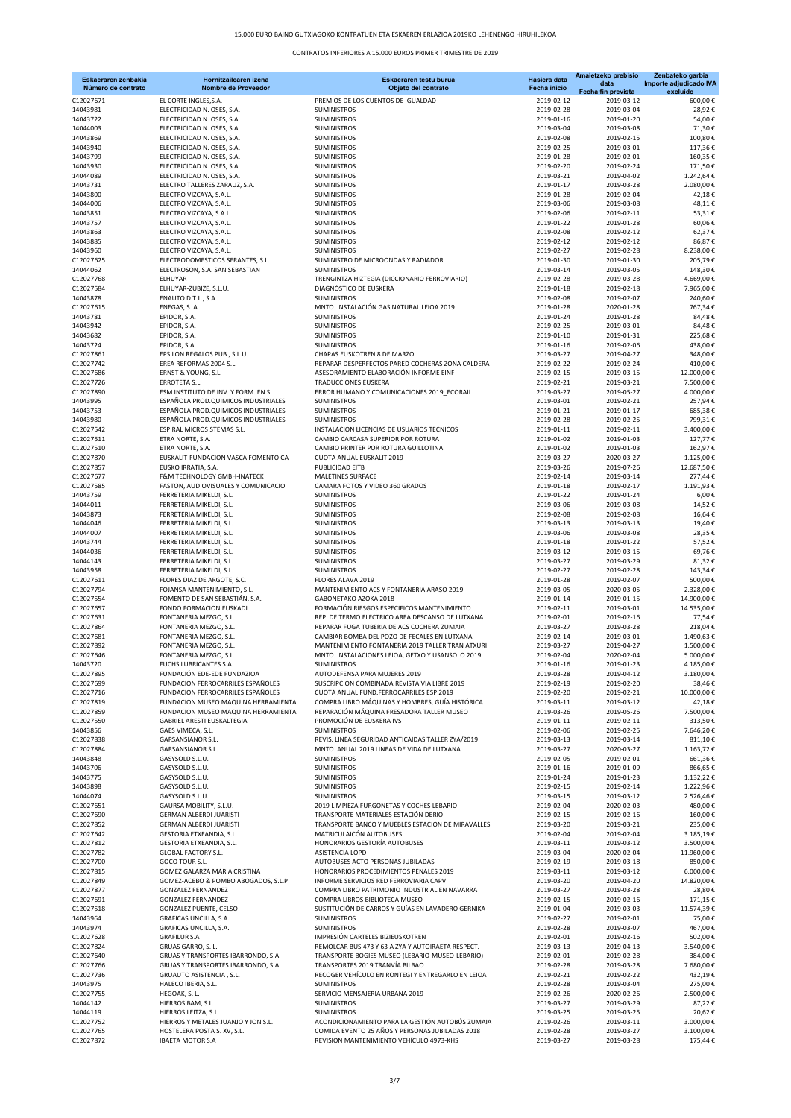| Eskaeraren zenbakia<br>Número de contrato | Hornitzailearen izena<br><b>Nombre de Proveedor</b>                         | Eskaeraren testu burua<br>Objeto del contrato                                              | Hasiera data<br>Fecha inicio | Amaietzeko prebisio<br>data<br>Fecha fin prevista | Zenbateko garbia<br>Importe adjudicado IVA<br>excluído |
|-------------------------------------------|-----------------------------------------------------------------------------|--------------------------------------------------------------------------------------------|------------------------------|---------------------------------------------------|--------------------------------------------------------|
| C12027671                                 | EL CORTE INGLES, S.A.                                                       | PREMIOS DE LOS CUENTOS DE IGUALDAD                                                         | 2019-02-12                   | 2019-03-12                                        | 600,00€                                                |
| 14043981                                  | ELECTRICIDAD N. OSES, S.A.                                                  | <b>SUMINISTROS</b>                                                                         | 2019-02-28                   | 2019-03-04                                        | 28,92€                                                 |
| 14043722<br>14044003                      | ELECTRICIDAD N. OSES, S.A.<br>ELECTRICIDAD N. OSES, S.A.                    | <b>SUMINISTROS</b><br><b>SUMINISTROS</b>                                                   | 2019-01-16<br>2019-03-04     | 2019-01-20<br>2019-03-08                          | 54,00€<br>71,30€                                       |
| 14043869                                  | ELECTRICIDAD N. OSES, S.A.                                                  | <b>SUMINISTROS</b>                                                                         | 2019-02-08                   | 2019-02-15                                        | 100,80€                                                |
| 14043940                                  | ELECTRICIDAD N. OSES, S.A.                                                  | SUMINISTROS                                                                                | 2019-02-25                   | 2019-03-01                                        | 117,36€                                                |
| 14043799                                  | ELECTRICIDAD N. OSES, S.A.                                                  | <b>SUMINISTROS</b>                                                                         | 2019-01-28                   | 2019-02-01                                        | 160,35€                                                |
| 14043930<br>14044089                      | ELECTRICIDAD N. OSES, S.A.<br>ELECTRICIDAD N. OSES, S.A.                    | <b>SUMINISTROS</b><br>SUMINISTROS                                                          | 2019-02-20<br>2019-03-21     | 2019-02-24<br>2019-04-02                          | 171,50€<br>1.242,64€                                   |
| 14043731                                  | ELECTRO TALLERES ZARAUZ, S.A.                                               | SUMINISTROS                                                                                | 2019-01-17                   | 2019-03-28                                        | 2.080,00€                                              |
| 14043800                                  | ELECTRO VIZCAYA, S.A.L.                                                     | <b>SUMINISTROS</b>                                                                         | 2019-01-28                   | 2019-02-04                                        | 42,18€                                                 |
| 14044006                                  | ELECTRO VIZCAYA, S.A.L.                                                     | <b>SUMINISTROS</b>                                                                         | 2019-03-06                   | 2019-03-08                                        | 48,11€                                                 |
| 14043851<br>14043757                      | ELECTRO VIZCAYA, S.A.L.<br>ELECTRO VIZCAYA, S.A.L.                          | SUMINISTROS<br><b>SUMINISTROS</b>                                                          | 2019-02-06<br>2019-01-22     | 2019-02-11<br>2019-01-28                          | 53,31€<br>60,06€                                       |
| 14043863                                  | ELECTRO VIZCAYA, S.A.L.                                                     | <b>SUMINISTROS</b>                                                                         | 2019-02-08                   | 2019-02-12                                        | 62,37€                                                 |
| 14043885                                  | ELECTRO VIZCAYA, S.A.L.                                                     | SUMINISTROS                                                                                | 2019-02-12                   | 2019-02-12                                        | 86,87€                                                 |
| 14043960                                  | ELECTRO VIZCAYA, S.A.L.                                                     | <b>SUMINISTROS</b>                                                                         | 2019-02-27                   | 2019-02-28                                        | 8.238,00€                                              |
| C12027625<br>14044062                     | ELECTRODOMESTICOS SERANTES, S.L.<br>ELECTROSON, S.A. SAN SEBASTIAN          | SUMINISTRO DE MICROONDAS Y RADIADOR<br><b>SUMINISTROS</b>                                  | 2019-01-30<br>2019-03-14     | 2019-01-30<br>2019-03-05                          | 205,79€<br>148,30€                                     |
| C12027768                                 | <b>ELHUYAR</b>                                                              | TRENGINTZA HIZTEGIA (DICCIONARIO FERROVIARIO)                                              | 2019-02-28                   | 2019-03-28                                        | 4.669,00€                                              |
| C12027584                                 | ELHUYAR-ZUBIZE, S.L.U.                                                      | DIAGNÓSTICO DE EUSKERA                                                                     | 2019-01-18                   | 2019-02-18                                        | 7.965,00€                                              |
| 14043878                                  | ENAUTO D.T.L., S.A.                                                         | <b>SUMINISTROS</b>                                                                         | 2019-02-08                   | 2019-02-07                                        | 240,60€                                                |
| C12027615<br>14043781                     | ENEGAS, S. A.<br>EPIDOR, S.A.                                               | MNTO. INSTALACIÓN GAS NATURAL LEIOA 2019<br><b>SUMINISTROS</b>                             | 2019-01-28<br>2019-01-24     | 2020-01-28<br>2019-01-28                          | 767,34€<br>84,48€                                      |
| 14043942                                  | EPIDOR, S.A.                                                                | <b>SUMINISTROS</b>                                                                         | 2019-02-25                   | 2019-03-01                                        | 84,48€                                                 |
| 14043682                                  | EPIDOR, S.A.                                                                | <b>SUMINISTROS</b>                                                                         | 2019-01-10                   | 2019-01-31                                        | 225,68€                                                |
| 14043724                                  | EPIDOR, S.A.                                                                | <b>SUMINISTROS</b>                                                                         | 2019-01-16                   | 2019-02-06                                        | 438,00€                                                |
| C12027861<br>C12027742                    | EPSILON REGALOS PUB., S.L.U.<br>EREA REFORMAS 2004 S.L.                     | CHAPAS EUSKOTREN 8 DE MARZO<br>REPARAR DESPERFECTOS PARED COCHERAS ZONA CALDERA            | 2019-03-27<br>2019-02-22     | 2019-04-27<br>2019-02-24                          | 348,00€<br>410,00€                                     |
| C12027686                                 | ERNST & YOUNG, S.L.                                                         | ASESORAMIENTO ELABORACIÓN INFORME EINF                                                     | 2019-02-15                   | 2019-03-15                                        | 12.000.00€                                             |
| C12027726                                 | ERROTETA S.L.                                                               | <b>TRADUCCIONES EUSKERA</b>                                                                | 2019-02-21                   | 2019-03-21                                        | 7.500,00€                                              |
| C12027890                                 | ESM INSTITUTO DE INV. Y FORM. EN S                                          | ERROR HUMANO Y COMUNICACIONES 2019 ECORAIL                                                 | 2019-03-27                   | 2019-05-27                                        | 4.000,00€                                              |
| 14043995<br>14043753                      | ESPAÑOLA PROD. QUIMICOS INDUSTRIALES<br>ESPAÑOLA PROD.QUIMICOS INDUSTRIALES | <b>SUMINISTROS</b><br><b>SUMINISTROS</b>                                                   | 2019-03-01<br>2019-01-21     | 2019-02-21<br>2019-01-17                          | 257,94€<br>685,38€                                     |
| 14043980                                  | ESPAÑOLA PROD. QUIMICOS INDUSTRIALES                                        | <b>SUMINISTROS</b>                                                                         | 2019-02-28                   | 2019-02-25                                        | 799,31€                                                |
| C12027542                                 | <b>ESPIRAL MICROSISTEMAS S.L.</b>                                           | INSTALACION LICENCIAS DE USUARIOS TECNICOS                                                 | 2019-01-11                   | 2019-02-11                                        | 3.400,00€                                              |
| C12027511                                 | ETRA NORTE, S.A.                                                            | CAMBIO CARCASA SUPERIOR POR ROTURA                                                         | 2019-01-02                   | 2019-01-03                                        | 127,77€                                                |
| C12027510<br>C12027870                    | ETRA NORTE, S.A.<br>EUSKALIT-FUNDACION VASCA FOMENTO CA                     | CAMBIO PRINTER POR ROTURA GUILLOTINA<br>CUOTA ANUAL EUSKALIT 2019                          | 2019-01-02<br>2019-03-27     | 2019-01-03<br>2020-03-27                          | 162,97€<br>1.125,00€                                   |
| C12027857                                 | EUSKO IRRATIA, S.A.                                                         | PUBLICIDAD EITB                                                                            | 2019-03-26                   | 2019-07-26                                        | 12.687,50€                                             |
| C12027677                                 | F&M TECHNOLOGY GMBH-INATECK                                                 | MALETINES SURFACE                                                                          | 2019-02-14                   | 2019-03-14                                        | 277,44€                                                |
| C12027585                                 | FASTON, AUDIOVISUALES Y COMUNICACIO                                         | CAMARA FOTOS Y VIDEO 360 GRADOS                                                            | 2019-01-18                   | 2019-02-17                                        | 1.191,93€                                              |
| 14043759<br>14044011                      | FERRETERIA MIKELDI, S.L.<br>FERRETERIA MIKELDI, S.L.                        | <b>SUMINISTROS</b><br><b>SUMINISTROS</b>                                                   | 2019-01-22<br>2019-03-06     | 2019-01-24<br>2019-03-08                          | 6,00€<br>14,52€                                        |
| 14043873                                  | FERRETERIA MIKELDI, S.L.                                                    | SUMINISTROS                                                                                | 2019-02-08                   | 2019-02-08                                        | 16,64€                                                 |
| 14044046                                  | FERRETERIA MIKELDI, S.L.                                                    | SUMINISTROS                                                                                | 2019-03-13                   | 2019-03-13                                        | 19,40€                                                 |
| 14044007                                  | FERRETERIA MIKELDI, S.L.                                                    | <b>SUMINISTROS</b>                                                                         | 2019-03-06                   | 2019-03-08                                        | 28,35€                                                 |
| 14043744<br>14044036                      | FERRETERIA MIKELDI, S.L.<br>FERRETERIA MIKELDI, S.L.                        | <b>SUMINISTROS</b><br>SUMINISTROS                                                          | 2019-01-18<br>2019-03-12     | 2019-01-22<br>2019-03-15                          | 57,52€<br>69,76€                                       |
| 14044143                                  | FERRETERIA MIKELDI, S.L.                                                    | SUMINISTROS                                                                                | 2019-03-27                   | 2019-03-29                                        | 81,32€                                                 |
| 14043958                                  | FERRETERIA MIKELDI, S.L.                                                    | <b>SUMINISTROS</b>                                                                         | 2019-02-27                   | 2019-02-28                                        | 143,34€                                                |
| C12027611                                 | FLORES DIAZ DE ARGOTE, S.C.                                                 | FLORES ALAVA 2019                                                                          | 2019-01-28                   | 2019-02-07                                        | 500,00€                                                |
| C12027794<br>C12027554                    | FOJANSA MANTENIMIENTO, S.L.<br>FOMENTO DE SAN SEBASTIÁN, S.A.               | MANTENIMIENTO ACS Y FONTANERIA ARASO 2019<br>GABONETAKO AZOKA 2018                         | 2019-03-05<br>2019-01-14     | 2020-03-05<br>2019-01-15                          | 2.328,00 €<br>14.900,00€                               |
| C12027657                                 | FONDO FORMACION EUSKADI                                                     | FORMACIÓN RIESGOS ESPECIFICOS MANTENIMIENTO                                                | 2019-02-11                   | 2019-03-01                                        | 14.535,00€                                             |
| C12027631                                 | FONTANERIA MEZGO, S.L.                                                      | REP. DE TERMO ELECTRICO AREA DESCANSO DE LUTXANA                                           | 2019-02-01                   | 2019-02-16                                        | 77,54€                                                 |
| C12027864<br>C12027681                    | FONTANERIA MEZGO, S.L.                                                      | REPARAR FUGA TUBERIA DE ACS COCHERA ZUMAIA<br>CAMBIAR BOMBA DEL POZO DE FECALES EN LUTXANA | 2019-03-27                   | 2019-03-28                                        | 218,04€                                                |
| C12027892                                 | FONTANERIA MEZGO, S.L.<br>FONTANERIA MEZGO, S.L.                            | MANTENIMIENTO FONTANERIA 2019 TALLER TRAN ATXURI                                           | 2019-02-14<br>2019-03-27     | 2019-03-01<br>2019-04-27                          | 1.490,63€<br>1.500,00€                                 |
| C12027646                                 | FONTANERIA MEZGO, S.L.                                                      | MNTO. INSTALACIONES LEIOA, GETXO Y USANSOLO 2019                                           | 2019-02-04                   | 2020-02-04                                        | 5.000,00€                                              |
| 14043720                                  | FUCHS LUBRICANTES S.A.                                                      | <b>SUMINISTROS</b>                                                                         | 2019-01-16                   | 2019-01-23                                        | 4.185,00€                                              |
| C12027895                                 | FUNDACIÓN EDE-EDE FUNDAZIOA                                                 | AUTODEFENSA PARA MUJERES 2019<br>SUSCRIPCION COMBINADA REVISTA VIA LIBRE 2019              | 2019-03-28                   | 2019-04-12                                        | 3.180,00€                                              |
| C12027699<br>C12027716                    | FUNDACION FERROCARRILES ESPAÑOLES<br>FUNDACION FERROCARRILES ESPAÑOLES      | CUOTA ANUAL FUND.FERROCARRILES ESP 2019                                                    | 2019-02-19<br>2019-02-20     | 2019-02-20<br>2019-02-21                          | 38,46€<br>10.000,00€                                   |
| C12027819                                 | FUNDACION MUSEO MAQUINA HERRAMIENTA                                         | COMPRA LIBRO MÁQUINAS Y HOMBRES, GUÍA HISTÓRICA                                            | 2019-03-11                   | 2019-03-12                                        | 42,18€                                                 |
| C12027859                                 | FUNDACION MUSEO MAQUINA HERRAMIENTA                                         | REPARACIÓN MÁQUINA FRESADORA TALLER MUSEO                                                  | 2019-03-26                   | 2019-05-26                                        | 7.500,00€                                              |
| C12027550<br>14043856                     | GABRIEL ARESTI EUSKALTEGIA<br>GAES VIMECA, S.L.                             | PROMOCIÓN DE EUSKERA IVS<br><b>SUMINISTROS</b>                                             | 2019-01-11<br>2019-02-06     | 2019-02-11                                        | 313,50€<br>7.646,20€                                   |
| C12027838                                 | <b>GARSANSIANOR S.L.</b>                                                    | REVIS. LINEA SEGURIDAD ANTICAIDAS TALLER ZYA/2019                                          | 2019-03-13                   | 2019-02-25<br>2019-03-14                          | 811,10€                                                |
| C12027884                                 | GARSANSIANOR S.L.                                                           | MNTO. ANUAL 2019 LINEAS DE VIDA DE LUTXANA                                                 | 2019-03-27                   | 2020-03-27                                        | 1.163,72€                                              |
| 14043848                                  | GASYSOLD S.L.U.                                                             | <b>SUMINISTROS</b>                                                                         | 2019-02-05                   | 2019-02-01                                        | 661,36€                                                |
| 14043706<br>14043775                      | GASYSOLD S.L.U.<br>GASYSOLD S.L.U.                                          | SUMINISTROS<br>SUMINISTROS                                                                 | 2019-01-16<br>2019-01-24     | 2019-01-09<br>2019-01-23                          | 866,65€<br>1.132,22 €                                  |
| 14043898                                  | GASYSOLD S.L.U.                                                             | SUMINISTROS                                                                                | 2019-02-15                   | 2019-02-14                                        | 1.222,96€                                              |
| 14044074                                  | GASYSOLD S.L.U.                                                             | <b>SUMINISTROS</b>                                                                         | 2019-03-15                   | 2019-03-12                                        | 2.526,46€                                              |
| C12027651                                 | GAURSA MOBILITY, S.L.U.                                                     | 2019 LIMPIEZA FURGONETAS Y COCHES LEBARIO                                                  | 2019-02-04                   | 2020-02-03                                        | 480,00€                                                |
| C12027690<br>C12027852                    | <b>GERMAN ALBERDI JUARISTI</b><br><b>GERMAN ALBERDI JUARISTI</b>            | TRANSPORTE MATERIALES ESTACIÓN DERIO<br>TRANSPORTE BANCO Y MUEBLES ESTACIÓN DE MIRAVALLES  | 2019-02-15<br>2019-03-20     | 2019-02-16<br>2019-03-21                          | 160,00€<br>235,00€                                     |
| C12027642                                 | GESTORIA ETXEANDIA, S.L.                                                    | MATRICULAICÓN AUTOBUSES                                                                    | 2019-02-04                   | 2019-02-04                                        | 3.185,19€                                              |
| C12027812                                 | GESTORIA ETXEANDIA, S.L.                                                    | HONORARIOS GESTORÍA AUTOBUSES                                                              | 2019-03-11                   | 2019-03-12                                        | 3.500,00€                                              |
| C12027782                                 | <b>GLOBAL FACTORY S.L.</b>                                                  | ASISTENCIA LOPD                                                                            | 2019-03-04                   | 2020-02-04                                        | 11.960,00€                                             |
| C12027700<br>C12027815                    | GOCO TOUR S.L.                                                              | AUTOBUSES ACTO PERSONAS JUBILADAS<br>HONORARIOS PROCEDIMIENTOS PENALES 2019                | 2019-02-19<br>2019-03-11     | 2019-03-18<br>2019-03-12                          | 850,00€<br>6.000,00€                                   |
| C12027849                                 | GOMEZ GALARZA MARIA CRISTINA<br>GOMEZ-ACEBO & POMBO ABOGADOS, S.L.P         | INFORME SERVICIOS RED FERROVIARIA CAPV                                                     | 2019-03-20                   | 2019-04-20                                        | 14.820,00€                                             |
| C12027877                                 | <b>GONZALEZ FERNANDEZ</b>                                                   | COMPRA LIBRO PATRIMONIO INDUSTRIAL EN NAVARRA                                              | 2019-03-27                   | 2019-03-28                                        | 28,80€                                                 |
| C12027691                                 | <b>GONZALEZ FERNANDEZ</b>                                                   | COMPRA LIBROS BIBLIOTECA MUSEO                                                             | 2019-02-15                   | 2019-02-16                                        | 171,15€                                                |
| C12027518<br>14043964                     | GONZALEZ PUENTE, CELSO<br>GRAFICAS UNCILLA, S.A.                            | SUSTITUCIÓN DE CARROS Y GUÍAS EN LAVADERO GERNIKA<br><b>SUMINISTROS</b>                    | 2019-01-04<br>2019-02-27     | 2019-03-03<br>2019-02-01                          | 11.574,39€<br>75,00€                                   |
| 14043974                                  | GRAFICAS UNCILLA, S.A.                                                      | SUMINISTROS                                                                                | 2019-02-28                   | 2019-03-07                                        | 467,00€                                                |
| C12027628                                 | <b>GRAFILUR S.A</b>                                                         | IMPRESIÓN CARTELES BIZIEUSKOTREN                                                           | 2019-02-01                   | 2019-02-16                                        | 502,00€                                                |
| C12027824                                 | GRUAS GARRO, S.L.                                                           | REMOLCAR BUS 473 Y 63 A ZYA Y AUTOIRAETA RESPECT.                                          | 2019-03-13                   | 2019-04-13                                        | 3.540,00€                                              |
| C12027640<br>C12027766                    | GRUAS Y TRANSPORTES IBARRONDO, S.A.<br>GRUAS Y TRANSPORTES IBARRONDO, S.A.  | TRANSPORTE BOGIES MUSEO (LEBARIO-MUSEO-LEBARIO)<br>TRANSPORTES 2019 TRANVÍA BILBAO         | 2019-02-01<br>2019-02-28     | 2019-02-28<br>2019-03-28                          | 384,00€<br>7.680,00€                                   |
| C12027736                                 | GRUAUTO ASISTENCIA, S.L.                                                    | RECOGER VEHÍCULO EN RONTEGI Y ENTREGARLO EN LEIOA                                          | 2019-02-21                   | 2019-02-22                                        | 432,19€                                                |
| 14043975                                  | HALECO IBERIA, S.L.                                                         | <b>SUMINISTROS</b>                                                                         | 2019-02-28                   | 2019-03-04                                        | 275,00€                                                |
| C12027755                                 | HEGOAK, S. L.                                                               | SERVICIO MENSAJERIA URBANA 2019                                                            | 2019-02-26                   | 2020-02-26                                        | 2.500,00€                                              |
| 14044142<br>14044119                      | HIERROS BAM, S.L.<br>HIERROS LEITZA, S.L.                                   | SUMINISTROS<br><b>SUMINISTROS</b>                                                          | 2019-03-27<br>2019-03-25     | 2019-03-29<br>2019-03-25                          | 87,22€<br>20,62€                                       |
| C12027752                                 | HIERROS Y METALES JUANJO Y JON S.L.                                         | ACONDICIONAMIENTO PARA LA GESTIÓN AUTOBÚS ZUMAIA                                           | 2019-02-26                   | 2019-03-11                                        | 3.000,00€                                              |
| C12027765                                 | HOSTELERA POSTA S. XV, S.L.                                                 | COMIDA EVENTO 25 AÑOS Y PERSONAS JUBILADAS 2018                                            | 2019-02-28                   | 2019-03-27                                        | 3.100,00€                                              |
| C12027872                                 | <b>IBAETA MOTOR S.A</b>                                                     | REVISION MANTENIMIENTO VEHÍCULO 4973-KHS                                                   | 2019-03-27                   | 2019-03-28                                        | 175,44 €                                               |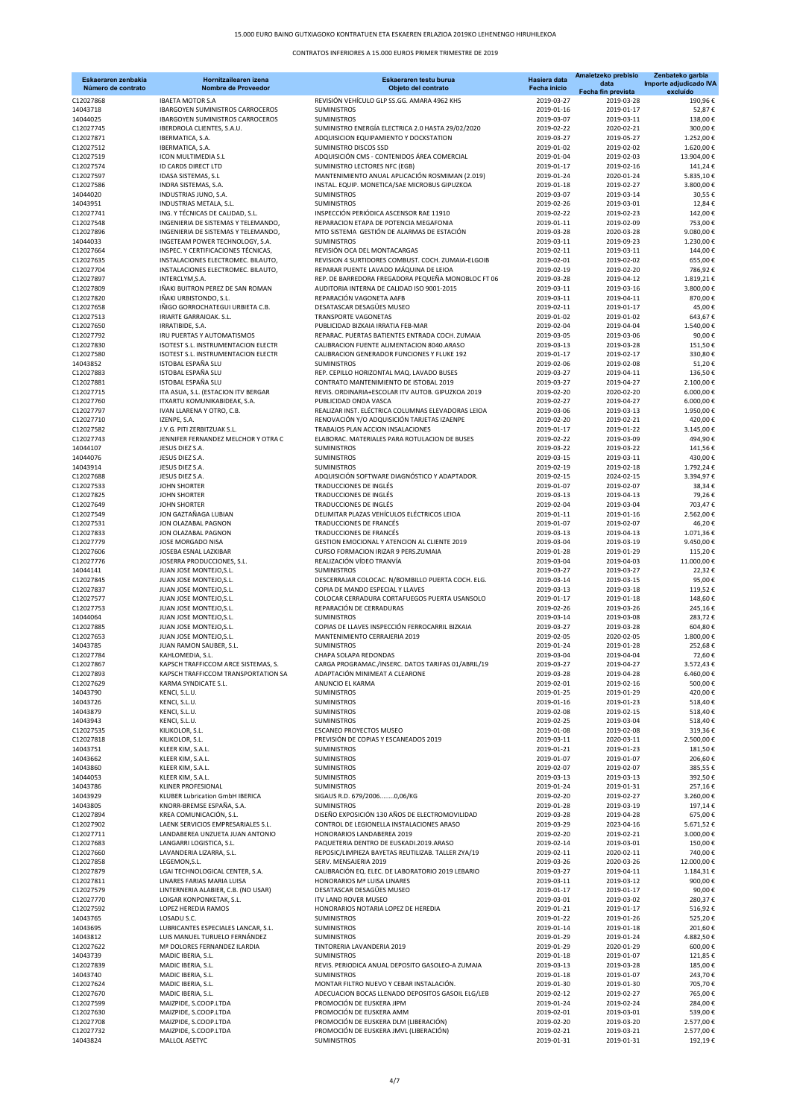## 15.000 EURO BAINO GUTXIAGOKO KONTRATUEN ETA ESKAEREN ERLAZIOA 2019KO LEHENENGO HIRUHILEKOA

| Eskaeraren zenbakia<br>Número de contrato | Hornitzailearen izena<br><b>Nombre de Proveedor</b>                      | Eskaeraren testu burua<br>Objeto del contrato                                                | Hasiera data<br>Fecha inicio | Amaietzeko prebisio<br>data<br>Fecha fin prevista | Zenbateko garbia<br>Importe adjudicado IVA<br>excluído |
|-------------------------------------------|--------------------------------------------------------------------------|----------------------------------------------------------------------------------------------|------------------------------|---------------------------------------------------|--------------------------------------------------------|
| C12027868                                 | <b>IBAETA MOTOR S.A</b>                                                  | REVISIÓN VEHÍCULO GLP SS.GG. AMARA 4962 KHS                                                  | 2019-03-27                   | 2019-03-28                                        | 190,96€                                                |
| 14043718                                  | IBARGOYEN SUMINISTROS CARROCEROS                                         | <b>SUMINISTROS</b>                                                                           | 2019-01-16                   | 2019-01-17                                        | 52,87€                                                 |
| 14044025<br>C12027745                     | IBARGOYEN SUMINISTROS CARROCEROS<br>IBERDROLA CLIENTES, S.A.U.           | <b>SUMINISTROS</b><br>SUMINISTRO ENERGÍA ELECTRICA 2.0 HASTA 29/02/2020                      | 2019-03-07<br>2019-02-22     | 2019-03-11<br>2020-02-21                          | 138,00€<br>300,00€                                     |
| C12027871                                 | IBERMATICA, S.A.                                                         | ADQUISICION EQUIPAMIENTO Y DOCKSTATION                                                       | 2019-03-27                   | 2019-05-27                                        | 1.252,00€                                              |
| C12027512                                 | IBERMATICA, S.A.                                                         | SUMINISTRO DISCOS SSD                                                                        | 2019-01-02                   | 2019-02-02                                        | 1.620,00€                                              |
| C12027519                                 | ICON MULTIMEDIA S.L                                                      | ADQUISICIÓN CMS - CONTENIDOS ÁREA COMERCIAL                                                  | 2019-01-04                   | 2019-02-03                                        | 13.904,00€                                             |
| C12027574<br>C12027597                    | <b>ID CARDS DIRECT LTD</b><br>IDASA SISTEMAS, S.L                        | SUMINISTRO LECTORES NFC (EGB)<br>MANTENIMIENTO ANUAL APLICACIÓN ROSMIMAN (2.019)             | 2019-01-17<br>2019-01-24     | 2019-02-16<br>2020-01-24                          | 141,24€<br>5.835,10€                                   |
| C12027586                                 | INDRA SISTEMAS, S.A.                                                     | INSTAL. EQUIP. MONETICA/SAE MICROBUS GIPUZKOA                                                | 2019-01-18                   | 2019-02-27                                        | 3.800,00€                                              |
| 14044020                                  | INDUSTRIAS JUNO, S.A.                                                    | <b>SUMINISTROS</b>                                                                           | 2019-03-07                   | 2019-03-14                                        | 30,55€                                                 |
| 14043951                                  | INDUSTRIAS METALA, S.L.                                                  | <b>SUMINISTROS</b>                                                                           | 2019-02-26                   | 2019-03-01                                        | 12,84€                                                 |
| C12027741<br>C12027548                    | ING. Y TÉCNICAS DE CALIDAD, S.L.<br>INGENIERIA DE SISTEMAS Y TELEMANDO,  | INSPECCIÓN PERIÓDICA ASCENSOR RAE 11910<br>REPARACION ETAPA DE POTENCIA MEGAFONIA            | 2019-02-22<br>2019-01-11     | 2019-02-23<br>2019-02-09                          | 142,00€<br>753,00€                                     |
| C12027896                                 | INGENIERIA DE SISTEMAS Y TELEMANDO.                                      | MTO SISTEMA GESTIÓN DE ALARMAS DE ESTACIÓN                                                   | 2019-03-28                   | 2020-03-28                                        | 9.080.00€                                              |
| 14044033                                  | INGETEAM POWER TECHNOLOGY, S.A.                                          | <b>SUMINISTROS</b>                                                                           | 2019-03-11                   | 2019-09-23                                        | 1.230,00€                                              |
| C12027664                                 | INSPEC. Y CERTIFICACIONES TÉCNICAS,                                      | REVISIÓN OCA DEL MONTACARGAS                                                                 | 2019-02-11                   | 2019-03-11                                        | 144,00€                                                |
| C12027635<br>C12027704                    | INSTALACIONES ELECTROMEC. BILAUTO,<br>INSTALACIONES ELECTROMEC. BILAUTO, | REVISION 4 SURTIDORES COMBUST. COCH. ZUMAIA-ELGOIB<br>REPARAR PUENTE LAVADO MÁQUINA DE LEIOA | 2019-02-01<br>2019-02-19     | 2019-02-02<br>2019-02-20                          | 655,00€<br>786,92€                                     |
| C12027897                                 | INTERCLYM, S.A.                                                          | REP. DE BARREDORA FREGADORA PEQUEÑA MONOBLOC FT 06                                           | 2019-03-28                   | 2019-04-12                                        | 1.819,21€                                              |
| C12027809                                 | IÑAKI BUITRON PEREZ DE SAN ROMAN                                         | AUDITORIA INTERNA DE CALIDAD ISO 9001-2015                                                   | 2019-03-11                   | 2019-03-16                                        | 3.800,00€                                              |
| C12027820                                 | IÑAKI URBISTONDO, S.L.                                                   | REPARACIÓN VAGONETA AAFB                                                                     | 2019-03-11                   | 2019-04-11                                        | 870,00€<br>45,00€                                      |
| C12027658<br>C12027513                    | IÑIGO GORROCHATEGUI URBIETA C.B.<br>IRIARTE GARRAIOAK. S.L.              | DESATASCAR DESAGÜES MUSEO<br><b>TRANSPORTE VAGONETAS</b>                                     | 2019-02-11<br>2019-01-02     | 2019-01-17<br>2019-01-02                          | 643,67€                                                |
| C12027650                                 | IRRATIBIDE, S.A.                                                         | PUBLICIDAD BIZKAIA IRRATIA FEB-MAR                                                           | 2019-02-04                   | 2019-04-04                                        | 1.540,00€                                              |
| C12027792                                 | IRU PUERTAS Y AUTOMATISMOS                                               | REPARAC. PUERTAS BATIENTES ENTRADA COCH. ZUMAIA                                              | 2019-03-05                   | 2019-03-06                                        | 90,00€                                                 |
| C12027830                                 | ISOTEST S.L. INSTRUMENTACION ELECTR                                      | CALIBRACION FUENTE ALIMENTACION 8040.ARASO                                                   | 2019-03-13                   | 2019-03-28                                        | 151,50€                                                |
| C12027580<br>14043852                     | ISOTEST S.L. INSTRUMENTACION ELECTR<br>ISTOBAL ESPAÑA SLU                | CALIBRACION GENERADOR FUNCIONES Y FLUKE 192<br><b>SUMINISTROS</b>                            | 2019-01-17<br>2019-02-06     | 2019-02-17<br>2019-02-08                          | 330,80€<br>51,20€                                      |
| C12027883                                 | ISTOBAL ESPAÑA SLU                                                       | REP. CEPILLO HORIZONTAL MAQ. LAVADO BUSES                                                    | 2019-03-27                   | 2019-04-11                                        | 136,50€                                                |
| C12027881                                 | ISTOBAL ESPAÑA SLU                                                       | CONTRATO MANTENIMIENTO DE ISTOBAL 2019                                                       | 2019-03-27                   | 2019-04-27                                        | 2.100,00€                                              |
| C12027715<br>C12027760                    | ITA ASUA, S.L. (ESTACION ITV BERGAR<br>ITXARTU KOMUNIKABIDEAK, S.A.      | REVIS. ORDINARIA+ESCOLAR ITV AUTOB. GIPUZKOA 2019<br>PUBLICIDAD ONDA VASCA                   | 2019-02-20<br>2019-02-27     | 2020-02-20<br>2019-04-27                          | 6.000,00€<br>6.000.00€                                 |
| C12027797                                 | IVAN LLARENA Y OTRO, C.B.                                                | REALIZAR INST. ELÉCTRICA COLUMNAS ELEVADORAS LEIOA                                           | 2019-03-06                   | 2019-03-13                                        | 1.950,00€                                              |
| C12027710                                 | IZENPE, S.A.                                                             | RENOVACIÓN Y/O ADQUISICIÓN TARJETAS IZAENPE                                                  | 2019-02-20                   | 2019-02-21                                        | 420,00€                                                |
| C12027582                                 | J.V.G. PITI ZERBITZUAK S.L.                                              | TRABAJOS PLAN ACCION INSALACIONES                                                            | 2019-01-17                   | 2019-01-22                                        | 3.145,00€                                              |
| C12027743                                 | JENNIFER FERNANDEZ MELCHOR Y OTRA C                                      | ELABORAC, MATERIALES PARA ROTULACION DE BUSES                                                | 2019-02-22                   | 2019-03-09                                        | 494,90€                                                |
| 14044107<br>14044076                      | JESUS DIEZ S.A.<br>JESUS DIEZ S.A.                                       | <b>SUMINISTROS</b><br><b>SUMINISTROS</b>                                                     | 2019-03-22<br>2019-03-15     | 2019-03-22<br>2019-03-11                          | 141,56€<br>430,00€                                     |
| 14043914                                  | JESUS DIEZ S.A.                                                          | <b>SUMINISTROS</b>                                                                           | 2019-02-19                   | 2019-02-18                                        | 1.792,24€                                              |
| C12027688                                 | JESUS DIEZ S.A.                                                          | ADQUISICIÓN SOFTWARE DIAGNÓSTICO Y ADAPTADOR.                                                | 2019-02-15                   | 2024-02-15                                        | 3.394,97€                                              |
| C12027533                                 | <b>JOHN SHORTER</b>                                                      | TRADUCCIONES DE INGLÉS                                                                       | 2019-01-07                   | 2019-02-07                                        | 38,34€                                                 |
| C12027825<br>C12027649                    | <b>JOHN SHORTER</b><br><b>JOHN SHORTER</b>                               | TRADUCCIONES DE INGLÉS<br>TRADUCCIONES DE INGLÉS                                             | 2019-03-13<br>2019-02-04     | 2019-04-13<br>2019-03-04                          | 79,26€<br>703,47€                                      |
| C12027549                                 | JON GAZTAÑAGA LUBIAN                                                     | DELIMITAR PLAZAS VEHÍCULOS ELÉCTRICOS LEIOA                                                  | 2019-01-11                   | 2019-01-16                                        | 2.562,00€                                              |
| C12027531                                 | JON OLAZABAL PAGNON                                                      | TRADUCCIONES DE FRANCÉS                                                                      | 2019-01-07                   | 2019-02-07                                        | 46,20€                                                 |
| C12027833                                 | JON OLAZABAL PAGNON                                                      | TRADUCCIONES DE FRANCÉS                                                                      | 2019-03-13                   | 2019-04-13                                        | 1.071,36€                                              |
| C12027779<br>C12027606                    | JOSE MORGADO NISA<br>JOSEBA ESNAL LAZKIBAR                               | GESTION EMOCIONAL Y ATENCION AL CLIENTE 2019<br>CURSO FORMACION IRIZAR 9 PERS.ZUMAIA         | 2019-03-04<br>2019-01-28     | 2019-03-19<br>2019-01-29                          | 9.450,00€<br>115,20€                                   |
| C12027776                                 | JOSERRA PRODUCCIONES, S.L.                                               | REALIZACIÓN VÍDEO TRANVÍA                                                                    | 2019-03-04                   | 2019-04-03                                        | 11.000,00€                                             |
| 14044141                                  | JUAN JOSE MONTEJO, S.L.                                                  | <b>SUMINISTROS</b>                                                                           | 2019-03-27                   | 2019-03-27                                        | 22,32€                                                 |
| C12027845<br>C12027837                    | JUAN JOSE MONTEJO, S.L.                                                  | DESCERRAJAR COLOCAC. N/BOMBILLO PUERTA COCH. ELG.<br>COPIA DE MANDO ESPECIAL Y LLAVES        | 2019-03-14                   | 2019-03-15                                        | 95,00€<br>119,52€                                      |
| C12027577                                 | JUAN JOSE MONTEJO, S.L.<br>JUAN JOSE MONTEJO, S.L.                       | COLOCAR CERRADURA CORTAFUEGOS PUERTA USANSOLO                                                | 2019-03-13<br>2019-01-17     | 2019-03-18<br>2019-01-18                          | 148,60€                                                |
| C12027753                                 | JUAN JOSE MONTEJO, S.L.                                                  | REPARACIÓN DE CERRADURAS                                                                     | 2019-02-26                   | 2019-03-26                                        | 245.16€                                                |
| 14044064                                  | JUAN JOSE MONTEJO, S.L.                                                  | <b>SUMINISTROS</b>                                                                           | 2019-03-14                   | 2019-03-08                                        | 283,72€                                                |
| C12027885<br>C12027653                    | JUAN JOSE MONTEJO, S.L.<br>JUAN JOSE MONTEJO, S.L.                       | COPIAS DE LLAVES INSPECCIÓN FERROCARRIL BIZKAIA<br>MANTENIMIENTO CERRAJERIA 2019             | 2019-03-27<br>2019-02-05     | 2019-03-28<br>2020-02-05                          | 604,80€<br>1.800,00€                                   |
| 14043785                                  | JUAN RAMON SAUBER, S.L.                                                  | <b>SUMINISTROS</b>                                                                           | 2019-01-24                   | 2019-01-28                                        | 252,68€                                                |
| C12027784                                 | KAHLOMEDIA, S.L.                                                         | CHAPA SOLAPA REDONDAS                                                                        | 2019-03-04                   | 2019-04-04                                        | 72,60€                                                 |
| C12027867                                 | KAPSCH TRAFFICCOM ARCE SISTEMAS, S.                                      | CARGA PROGRAMAC./INSERC. DATOS TARIFAS 01/ABRIL/19                                           | 2019-03-27                   | 2019-04-27                                        | 3.572,43€                                              |
| C12027893<br>C12027629                    | KAPSCH TRAFFICCOM TRANSPORTATION SA<br>KARMA SYNDICATE S.L.              | ADAPTACIÓN MINIMEAT A CLEARONE<br>ANUNCIO EL KARMA                                           | 2019-03-28<br>2019-02-01     | 2019-04-28<br>2019-02-16                          | 6.460,00€<br>500,00€                                   |
| 14043790                                  | KENCI, S.L.U.                                                            | <b>SUMINISTROS</b>                                                                           | 2019-01-25                   | 2019-01-29                                        | 420,00€                                                |
| 14043726                                  | KENCI, S.L.U.                                                            | <b>SUMINISTROS</b>                                                                           | 2019-01-16                   | 2019-01-23                                        | 518,40€                                                |
| 14043879                                  | KENCI, S.L.U.                                                            | SUMINISTROS                                                                                  | 2019-02-08                   | 2019-02-15                                        | 518,40€                                                |
| 14043943<br>C12027535                     | KENCI, S.L.U.<br>KILIKOLOR, S.L.                                         | SUMINISTROS<br>ESCANEO PROYECTOS MUSEO                                                       | 2019-02-25<br>2019-01-08     | 2019-03-04<br>2019-02-08                          | 518,40€<br>319,36€                                     |
| C12027818                                 | KILIKOLOR, S.L.                                                          | PREVISIÓN DE COPIAS Y ESCANEADOS 2019                                                        | 2019-03-11                   | 2020-03-11                                        | 2.500.00€                                              |
| 14043751                                  | KLEER KIM, S.A.L.                                                        | <b>SUMINISTROS</b>                                                                           | 2019-01-21                   | 2019-01-23                                        | 181,50€                                                |
| 14043662                                  | KLEER KIM, S.A.L.                                                        | SUMINISTROS                                                                                  | 2019-01-07                   | 2019-01-07                                        | 206,60€                                                |
| 14043860<br>14044053                      | KLEER KIM, S.A.L.<br>KLEER KIM, S.A.L.                                   | SUMINISTROS<br><b>SUMINISTROS</b>                                                            | 2019-02-07<br>2019-03-13     | 2019-02-07<br>2019-03-13                          | 385,55€<br>392,50€                                     |
| 14043786                                  | <b>KLINER PROFESIONAL</b>                                                | SUMINISTROS                                                                                  | 2019-01-24                   | 2019-01-31                                        | 257,16€                                                |
| 14043929                                  | KLUBER Lubrication GmbH IBERICA                                          | SIGAUS R.D. 679/20060,06/KG                                                                  | 2019-02-20                   | 2019-02-27                                        | 3.260,00€                                              |
| 14043805                                  | KNORR-BREMSE ESPAÑA, S.A.                                                | <b>SUMINISTROS</b>                                                                           | 2019-01-28                   | 2019-03-19                                        | 197,14€                                                |
| C12027894<br>C12027902                    | KREA COMUNICACIÓN, S.L.<br>LAENK SERVICIOS EMPRESARIALES S.L.            | DISEÑO EXPOSICIÓN 130 AÑOS DE ELECTROMOVILIDAD<br>CONTROL DE LEGIONELLA INSTALACIONES ARASO  | 2019-03-28<br>2019-03-29     | 2019-04-28<br>2023-04-16                          | 675,00€<br>5.671,52€                                   |
| C12027711                                 | LANDABEREA UNZUETA JUAN ANTONIO                                          | HONORARIOS LANDABEREA 2019                                                                   | 2019-02-20                   | 2019-02-21                                        | 3.000,00€                                              |
| C12027683                                 | LANGARRI LOGISTICA, S.L.                                                 | PAQUETERIA DENTRO DE EUSKADI.2019.ARASO                                                      | 2019-02-14                   | 2019-03-01                                        | 150,00€                                                |
| C12027660                                 | LAVANDERIA LIZARRA, S.L.                                                 | REPOSIC/LIMPIEZA BAYETAS REUTILIZAB. TALLER ZYA/19                                           | 2019-02-11                   | 2020-02-11                                        | 740,00€                                                |
| C12027858<br>C12027879                    | LEGEMON, S.L.<br>LGAI TECHNOLOGICAL CENTER, S.A.                         | SERV. MENSAJERIA 2019<br>CALIBRACIÓN EQ. ELEC. DE LABORATORIO 2019 LEBARIO                   | 2019-03-26<br>2019-03-27     | 2020-03-26<br>2019-04-11                          | 12.000,00€<br>1.184,31€                                |
| C12027811                                 | LINARES FARIAS MARIA LUISA                                               | HONORARIOS Mª LUISA LINARES                                                                  | 2019-03-11                   | 2019-03-12                                        | 900,00€                                                |
| C12027579                                 | LINTERNERIA ALABIER, C.B. (NO USAR)                                      | DESATASCAR DESAGÜES MUSEO                                                                    | 2019-01-17                   | 2019-01-17                                        | 90,00€                                                 |
| C12027770                                 | LOIGAR KONPONKETAK, S.L.                                                 | ITV LAND ROVER MUSEO                                                                         | 2019-03-01                   | 2019-03-02                                        | 280,37€                                                |
| C12027592<br>14043765                     | LOPEZ HEREDIA RAMOS<br>LOSADU S.C.                                       | HONORARIOS NOTARIA LOPEZ DE HEREDIA<br><b>SUMINISTROS</b>                                    | 2019-01-21<br>2019-01-22     | 2019-01-17<br>2019-01-26                          | 516,92€<br>525,20€                                     |
| 14043695                                  | LUBRICANTES ESPECIALES LANCAR, S.L.                                      | SUMINISTROS                                                                                  | 2019-01-14                   | 2019-01-18                                        | 201,60€                                                |
| 14043812                                  | LUIS MANUEL TURUELO FERNÁNDEZ                                            | <b>SUMINISTROS</b>                                                                           | 2019-01-29                   | 2019-01-24                                        | 4.882,50€                                              |
| C12027622                                 | Mª DOLORES FERNANDEZ ILARDIA                                             | TINTORERIA LAVANDERIA 2019                                                                   | 2019-01-29                   | 2020-01-29                                        | 600,00€                                                |
| 14043739<br>C12027839                     | MADIC IBERIA, S.L.<br>MADIC IBERIA, S.L.                                 | <b>SUMINISTROS</b><br>REVIS. PERIODICA ANUAL DEPOSITO GASOLEO-A ZUMAIA                       | 2019-01-18<br>2019-03-13     | 2019-01-07<br>2019-03-28                          | 121,85€<br>185,00€                                     |
| 14043740                                  | MADIC IBERIA, S.L.                                                       | <b>SUMINISTROS</b>                                                                           | 2019-01-18                   | 2019-01-07                                        | 243,70€                                                |
| C12027624                                 | MADIC IBERIA, S.L.                                                       | MONTAR FILTRO NUEVO Y CEBAR INSTALACIÓN.                                                     | 2019-01-30                   | 2019-01-30                                        | 705,70€                                                |
| C12027670                                 | MADIC IBERIA, S.L.                                                       | ADECUACION BOCAS LLENADO DEPOSITOS GASOIL ELG/LEB                                            | 2019-02-12                   | 2019-02-27                                        | 765,00€                                                |
| C12027599<br>C12027630                    | MAIZPIDE, S.COOP.LTDA<br>MAIZPIDE, S.COOP.LTDA                           | PROMOCIÓN DE EUSKERA JIPM<br>PROMOCIÓN DE EUSKERA AMM                                        | 2019-01-24<br>2019-02-01     | 2019-02-24<br>2019-03-01                          | 284,00€<br>539,00€                                     |
| C12027708                                 | MAIZPIDE, S.COOP.LTDA                                                    | PROMOCIÓN DE EUSKERA DLM (LIBERACIÓN)                                                        | 2019-02-20                   | 2019-03-20                                        | 2.577,00€                                              |
| C12027732                                 | MAIZPIDE, S.COOP.LTDA                                                    | PROMOCIÓN DE EUSKERA JMVL (LIBERACIÓN)                                                       | 2019-02-21                   | 2019-03-21                                        | 2.577,00€                                              |
| 14043824                                  | MALLOL ASETYC                                                            | <b>SUMINISTROS</b>                                                                           | 2019-01-31                   | 2019-01-31                                        | 192,19€                                                |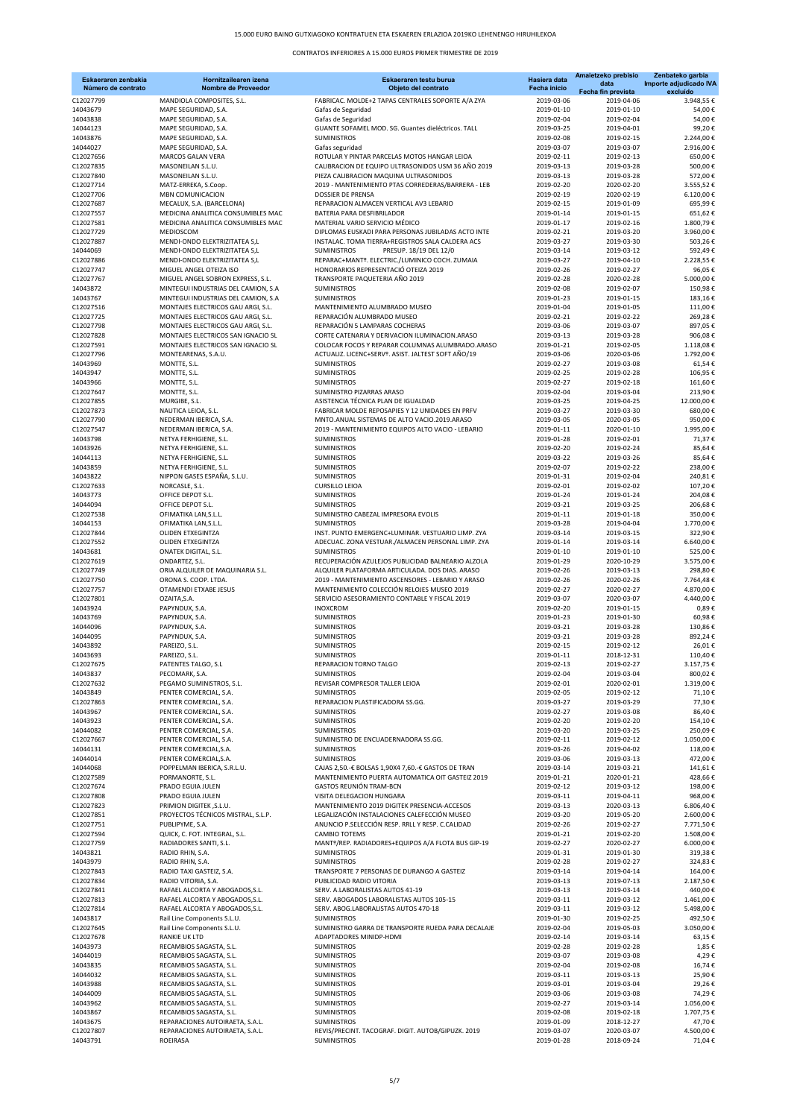| Eskaeraren zenbakia<br>Número de contrato | Hornitzailearen izena<br><b>Nombre de Proveedor</b>                      | Eskaeraren testu burua<br>Objeto del contrato                                                   | Hasiera data<br>Fecha inicio | Amaietzeko prebisio<br>data<br>Fecha fin prevista | Zenbateko garbia<br>Importe adjudicado IVA<br>excluído |
|-------------------------------------------|--------------------------------------------------------------------------|-------------------------------------------------------------------------------------------------|------------------------------|---------------------------------------------------|--------------------------------------------------------|
| C12027799                                 | MANDIOLA COMPOSITES, S.L.                                                | FABRICAC. MOLDE+2 TAPAS CENTRALES SOPORTE A/A ZYA                                               | 2019-03-06                   | 2019-04-06                                        | 3.948,55€                                              |
| 14043679                                  | MAPE SEGURIDAD, S.A.                                                     | Gafas de Seguridad                                                                              | 2019-01-10                   | 2019-01-10                                        | 54,00€                                                 |
| 14043838<br>14044123                      | MAPE SEGURIDAD, S.A.<br>MAPE SEGURIDAD, S.A.                             | Gafas de Seguridad<br>GUANTE SOFAMEL MOD. SG. Guantes dieléctricos. TALL                        | 2019-02-04<br>2019-03-25     | 2019-02-04<br>2019-04-01                          | 54,00€<br>99,20€                                       |
| 14043876                                  | MAPE SEGURIDAD, S.A.                                                     | <b>SUMINISTROS</b>                                                                              | 2019-02-08                   | 2019-02-15                                        | 2.244,00€                                              |
| 14044027                                  | MAPE SEGURIDAD, S.A.                                                     | Gafas seguridad                                                                                 | 2019-03-07                   | 2019-03-07                                        | 2.916,00€                                              |
| C12027656                                 | MARCOS GALAN VERA                                                        | ROTULAR Y PINTAR PARCELAS MOTOS HANGAR LEIOA                                                    | 2019-02-11                   | 2019-02-13                                        | 650,00€                                                |
| C12027835<br>C12027840                    | MASONEILAN S.L.U.<br>MASONEILAN S.L.U.                                   | CALIBRACION DE EQUIPO ULTRASONIDOS USM 36 AÑO 2019<br>PIEZA CALIBRACION MAQUINA ULTRASONIDOS    | 2019-03-13<br>2019-03-13     | 2019-03-28<br>2019-03-28                          | 500,00€<br>572,00€                                     |
| C12027714                                 | MATZ-ERREKA, S.Coop.                                                     | 2019 - MANTENIMIENTO PTAS CORREDERAS/BARRERA - LEB                                              | 2019-02-20                   | 2020-02-20                                        | 3.555,52€                                              |
| C12027706                                 | MBN COMUNICACION                                                         | <b>DOSSIER DE PRENSA</b>                                                                        | 2019-02-19                   | 2020-02-19                                        | 6.120,00€                                              |
| C12027687                                 | MECALUX, S.A. (BARCELONA)                                                | REPARACION ALMACEN VERTICAL AV3 LEBARIO                                                         | 2019-02-15                   | 2019-01-09                                        | 695,99€                                                |
| C12027557<br>C12027581                    | MEDICINA ANALITICA CONSUMIBLES MAC<br>MEDICINA ANALITICA CONSUMIBLES MAC | BATERIA PARA DESFIBRILADOR<br>MATERIAL VARIO SERVICIO MÉDICO                                    | 2019-01-14<br>2019-01-17     | 2019-01-15<br>2019-02-16                          | 651,62€<br>1.800,79€                                   |
| C12027729                                 | MEDIOSCOM                                                                | DIPLOMAS EUSKADI PARA PERSONAS JUBILADAS ACTO INTE                                              | 2019-02-21                   | 2019-03-20                                        | 3.960,00€                                              |
| C12027887                                 | MENDI-ONDO ELEKTRIZITATEA S,L                                            | INSTALAC. TOMA TIERRA+REGISTROS SALA CALDERA ACS                                                | 2019-03-27                   | 2019-03-30                                        | 503,26€                                                |
| 14044069                                  | MENDI-ONDO ELEKTRIZITATEA S,L                                            | <b>SUMINISTROS</b><br>PRESUP. 18/19 DEL 12/0                                                    | 2019-03-14                   | 2019-03-12                                        | 592,49€                                                |
| C12027886<br>C12027747                    | MENDI-ONDO ELEKTRIZITATEA S,L<br>MIGUEL ANGEL OTEIZA ISO                 | REPARAC+MANTº. ELECTRIC./LUMINICO COCH. ZUMAIA<br>HONORARIOS REPRESENTACIÓ OTEIZA 2019          | 2019-03-27                   | 2019-04-10                                        | 2.228,55€<br>96,05€                                    |
| C12027767                                 | MIGUEL ANGEL SOBRON EXPRESS, S.L.                                        | TRANSPORTE PAQUETERIA AÑO 2019                                                                  | 2019-02-26<br>2019-02-28     | 2019-02-27<br>2020-02-28                          | 5.000,00€                                              |
| 14043872                                  | MINTEGUI INDUSTRIAS DEL CAMION, S.A                                      | <b>SUMINISTROS</b>                                                                              | 2019-02-08                   | 2019-02-07                                        | 150,98€                                                |
| 14043767                                  | MINTEGUI INDUSTRIAS DEL CAMION, S.A                                      | <b>SUMINISTROS</b>                                                                              | 2019-01-23                   | 2019-01-15                                        | 183,16€                                                |
| C12027516                                 | MONTAJES ELECTRICOS GAU ARGI, S.L.                                       | MANTENIMIENTO ALUMBRADO MUSEO<br>REPARACIÓN ALUMBRADO MUSEO                                     | 2019-01-04                   | 2019-01-05                                        | 111,00€<br>269,28€                                     |
| C12027725<br>C12027798                    | MONTAJES ELECTRICOS GAU ARGI, S.L.<br>MONTAJES ELECTRICOS GAU ARGI, S.L. | REPARACIÓN 5 LAMPARAS COCHERAS                                                                  | 2019-02-21<br>2019-03-06     | 2019-02-22<br>2019-03-07                          | 897,05€                                                |
| C12027828                                 | MONTAJES ELECTRICOS SAN IGNACIO SL                                       | CORTE CATENARIA Y DERIVACION ILUMINACION.ARASO                                                  | 2019-03-13                   | 2019-03-28                                        | 906,08€                                                |
| C12027591                                 | MONTAJES ELECTRICOS SAN IGNACIO SL                                       | COLOCAR FOCOS Y REPARAR COLUMNAS ALUMBRADO.ARASO                                                | 2019-01-21                   | 2019-02-05                                        | 1.118,08€                                              |
| C12027796                                 | MONTEARENAS, S.A.U.                                                      | ACTUALIZ. LICENC+SERVº. ASIST. JALTEST SOFT AÑO/19                                              | 2019-03-06<br>2019-02-27     | 2020-03-06                                        | 1.792,00€                                              |
| 14043969<br>14043947                      | MONTTE, S.L.<br>MONTTE, S.L.                                             | <b>SUMINISTROS</b><br><b>SUMINISTROS</b>                                                        | 2019-02-25                   | 2019-03-08<br>2019-02-28                          | 61,54€<br>106,95€                                      |
| 14043966                                  | MONTTE, S.L.                                                             | <b>SUMINISTROS</b>                                                                              | 2019-02-27                   | 2019-02-18                                        | 161,60€                                                |
| C12027647                                 | MONTTE, S.L.                                                             | SUMINISTRO PIZARRAS ARASO                                                                       | 2019-02-04                   | 2019-03-04                                        | 213,90€                                                |
| C12027855                                 | MURGIBE, S.L.                                                            | ASISTENCIA TÉCNICA PLAN DE IGUALDAD                                                             | 2019-03-25                   | 2019-04-25                                        | 12.000.00€                                             |
| C12027873<br>C12027790                    | NAUTICA LEIOA, S.L.<br>NEDERMAN IBERICA, S.A.                            | FABRICAR MOLDE REPOSAPIES Y 12 UNIDADES EN PRFV<br>MNTO.ANUAL SISTEMAS DE ALTO VACIO.2019.ARASO | 2019-03-27<br>2019-03-05     | 2019-03-30<br>2020-03-05                          | 680,00€<br>950,00€                                     |
| C12027547                                 | NEDERMAN IBERICA, S.A.                                                   | 2019 - MANTENIMIENTO EQUIPOS ALTO VACIO - LEBARIO                                               | 2019-01-11                   | 2020-01-10                                        | 1.995,00€                                              |
| 14043798                                  | NETYA FERHIGIENE, S.L.                                                   | <b>SUMINISTROS</b>                                                                              | 2019-01-28                   | 2019-02-01                                        | 71,37€                                                 |
| 14043926                                  | NETYA FERHIGIENE, S.L.                                                   | <b>SUMINISTROS</b>                                                                              | 2019-02-20                   | 2019-02-24                                        | 85,64€                                                 |
| 14044113<br>14043859                      | NETYA FERHIGIENE, S.L.<br>NETYA FERHIGIENE, S.L.                         | SUMINISTROS<br><b>SUMINISTROS</b>                                                               | 2019-03-22<br>2019-02-07     | 2019-03-26<br>2019-02-22                          | 85,64€<br>238,00€                                      |
| 14043822                                  | NIPPON GASES ESPAÑA, S.L.U.                                              | <b>SUMINISTROS</b>                                                                              | 2019-01-31                   | 2019-02-04                                        | 240,81€                                                |
| C12027633                                 | NORCASLE, S.L.                                                           | <b>CURSILLO LEIOA</b>                                                                           | 2019-02-01                   | 2019-02-02                                        | 107,20€                                                |
| 14043773                                  | OFFICE DEPOT S.L.                                                        | <b>SUMINISTROS</b>                                                                              | 2019-01-24                   | 2019-01-24                                        | 204,08€                                                |
| 14044094                                  | OFFICE DEPOT S.L.                                                        | <b>SUMINISTROS</b><br>SUMINISTRO CABEZAL IMPRESORA EVOLIS                                       | 2019-03-21                   | 2019-03-25                                        | 206,68€<br>350,00€                                     |
| C12027538<br>14044153                     | OFIMATIKA LAN, S.L.L.<br>OFIMATIKA LAN, S.L.L.                           | <b>SUMINISTROS</b>                                                                              | 2019-01-11<br>2019-03-28     | 2019-01-18<br>2019-04-04                          | 1.770,00€                                              |
| C12027844                                 | OLIDEN ETXEGINTZA                                                        | INST. PUNTO EMERGENC+LUMINAR. VESTUARIO LIMP. ZYA                                               | 2019-03-14                   | 2019-03-15                                        | 322,90€                                                |
| C12027552                                 | <b>OLIDEN ETXEGINTZA</b>                                                 | ADECUAC. ZONA VESTUAR./ALMACEN PERSONAL LIMP. ZYA                                               | 2019-01-14                   | 2019-03-14                                        | 6.640,00€                                              |
| 14043681<br>C12027619                     | ONATEK DIGITAL, S.L.<br>ONDARTEZ, S.L.                                   | <b>SUMINISTROS</b><br>RECUPERACIÓN AZULEJOS PUBLICIDAD BALNEARIO ALZOLA                         | 2019-01-10<br>2019-01-29     | 2019-01-10<br>2020-10-29                          | 525,00€<br>3.575,00€                                   |
| C12027749                                 | ORIA ALQUILER DE MAQUINARIA S.L.                                         | ALQUILER PLATAFORMA ARTICULADA. DOS DIAS. ARASO                                                 | 2019-02-26                   | 2019-03-13                                        | 298,80€                                                |
| C12027750                                 | ORONA S. COOP. LTDA.                                                     | 2019 - MANTENIMIENTO ASCENSORES - LEBARIO Y ARASO                                               | 2019-02-26                   | 2020-02-26                                        | 7.764,48€                                              |
| C12027757                                 | OTAMENDI ETXABE JESUS                                                    | MANTENIMIENTO COLECCIÓN RELOJES MUSEO 2019                                                      | 2019-02-27                   | 2020-02-27                                        | 4.870,00€                                              |
| C12027801<br>14043924                     | OZAITA, S.A.<br>PAPYNDUX, S.A.                                           | SERVICIO ASESORAMIENTO CONTABLE Y FISCAL 2019<br><b>INOXCROM</b>                                | 2019-03-07<br>2019-02-20     | 2020-03-07<br>2019-01-15                          | 4.440,00 €<br>0,89€                                    |
| 14043769                                  | PAPYNDUX, S.A.                                                           | <b>SUMINISTROS</b>                                                                              | 2019-01-23                   | 2019-01-30                                        | 60,98€                                                 |
| 14044096                                  | PAPYNDUX, S.A.                                                           | <b>SUMINISTROS</b>                                                                              | 2019-03-21                   | 2019-03-28                                        | 130,86€                                                |
| 14044095                                  | PAPYNDUX, S.A.                                                           | <b>SUMINISTROS</b>                                                                              | 2019-03-21                   | 2019-03-28                                        | 892,24€                                                |
| 14043892<br>14043693                      | PAREIZO, S.L.<br>PAREIZO, S.L.                                           | <b>SUMINISTROS</b><br><b>SUMINISTROS</b>                                                        | 2019-02-15<br>2019-01-11     | 2019-02-12<br>2018-12-31                          | 26,01€<br>110,40€                                      |
| C12027675                                 | PATENTES TALGO, S.L                                                      | REPARACION TORNO TALGO                                                                          | 2019-02-13                   | 2019-02-27                                        | 3.157,75€                                              |
| 14043837                                  | PECOMARK, S.A.                                                           | <b>SUMINISTROS</b>                                                                              | 2019-02-04                   | 2019-03-04                                        | 800,02€                                                |
| C12027632                                 | PEGAMO SUMINISTROS, S.L.                                                 | REVISAR COMPRESOR TALLER LEIOA                                                                  | 2019-02-01                   | 2020-02-01                                        | 1.319,00€                                              |
| 14043849<br>C12027863                     | PENTER COMERCIAL, S.A.<br>PENTER COMERCIAL, S.A.                         | <b>SUMINISTROS</b><br>REPARACION PLASTIFICADORA SS.GG.                                          | 2019-02-05<br>2019-03-27     | 2019-02-12<br>2019-03-29                          | 71,10€<br>77,30€                                       |
| 14043967                                  | PENTER COMERCIAL, S.A.                                                   | <b>SUMINISTROS</b>                                                                              | 2019-02-27                   | 2019-03-08                                        | 86,40€                                                 |
| 14043923                                  | PENTER COMERCIAL, S.A.                                                   | <b>SUMINISTROS</b>                                                                              | 2019-02-20                   | 2019-02-20                                        | 154,10€                                                |
| 14044082                                  | PENTER COMERCIAL, S.A.                                                   | <b>SUMINISTROS</b>                                                                              | 2019-03-20                   | 2019-03-25                                        | 250,09€                                                |
| C12027667<br>14044131                     | PENTER COMERCIAL, S.A.<br>PENTER COMERCIAL, S.A.                         | SUMINISTRO DE ENCUADERNADORA SS.GG.<br><b>SUMINISTROS</b>                                       | 2019-02-11                   | 2019-02-12                                        | 1.050,00€                                              |
| 14044014                                  | PENTER COMERCIAL, S.A.                                                   | <b>SUMINISTROS</b>                                                                              | 2019-03-26<br>2019-03-06     | 2019-04-02<br>2019-03-13                          | 118,00€<br>472,00€                                     |
| 14044068                                  | POPPELMAN IBERICA, S.R.L.U.                                              | CAJAS 2,50.-€ BOLSAS 1,90X4 7,60.-€ GASTOS DE TRAN                                              | 2019-03-14                   | 2019-03-21                                        | 141,61€                                                |
| C12027589                                 | PORMANORTE, S.L.                                                         | MANTENIMIENTO PUERTA AUTOMATICA OIT GASTEIZ 2019                                                | 2019-01-21                   | 2020-01-21                                        | 428,66€                                                |
| C12027674<br>C12027808                    | PRADO EGUIA JULEN<br>PRADO EGUIA JULEN                                   | <b>GASTOS REUNIÓN TRAM-BCN</b><br>VISITA DELEGACION HUNGARA                                     | 2019-02-12<br>2019-03-11     | 2019-03-12<br>2019-04-11                          | 198,00€<br>968,00€                                     |
| C12027823                                 | PRIMION DIGITEK .S.L.U.                                                  | MANTENIMIENTO 2019 DIGITEK PRESENCIA-ACCESOS                                                    | 2019-03-13                   | 2020-03-13                                        | 6.806.40€                                              |
| C12027851                                 | PROYECTOS TÉCNICOS MISTRAL, S.L.P.                                       | LEGALIZACIÓN INSTALACIONES CALEFECCIÓN MUSEO                                                    | 2019-03-20                   | 2019-05-20                                        | 2.600,00€                                              |
| C12027751                                 | PUBLIPYME, S.A.                                                          | ANUNCIO P.SELECCIÓN RESP. RRLL Y RESP. C.CALIDAD                                                | 2019-02-26                   | 2019-02-27                                        | 7.771,50€                                              |
| C12027594<br>C12027759                    | QUICK, C. FOT. INTEGRAL, S.L.<br>RADIADORES SANTI, S.L.                  | <b>CAMBIO TOTEMS</b><br>MANTº/REP. RADIADORES+EQUIPOS A/A FLOTA BUS GIP-19                      | 2019-01-21<br>2019-02-27     | 2019-02-20<br>2020-02-27                          | 1.508,00€<br>6.000,00€                                 |
| 14043821                                  | RADIO RHIN, S.A.                                                         | <b>SUMINISTROS</b>                                                                              | 2019-01-31                   | 2019-01-30                                        | 319,38€                                                |
| 14043979                                  | RADIO RHIN, S.A.                                                         | <b>SUMINISTROS</b>                                                                              | 2019-02-28                   | 2019-02-27                                        | 324,83€                                                |
| C12027843                                 | RADIO TAXI GASTEIZ, S.A.                                                 | TRANSPORTE 7 PERSONAS DE DURANGO A GASTEIZ                                                      | 2019-03-14                   | 2019-04-14                                        | 164,00€                                                |
| C12027834                                 | RADIO VITORIA, S.A.                                                      | PUBLICIDAD RADIO VITORIA                                                                        | 2019-03-13                   | 2019-07-13                                        | 2.187,50€<br>440,00€                                   |
| C12027841<br>C12027813                    | RAFAEL ALCORTA Y ABOGADOS, S.L.<br>RAFAEL ALCORTA Y ABOGADOS, S.L.       | SERV. A.LABORALISTAS AUTOS 41-19<br>SERV. ABOGADOS LABORALISTAS AUTOS 105-15                    | 2019-03-13<br>2019-03-11     | 2019-03-14<br>2019-03-12                          | 1.461,00 €                                             |
| C12027814                                 | RAFAEL ALCORTA Y ABOGADOS, S.L.                                          | SERV. ABOG.LABORALISTAS AUTOS 470-18                                                            | 2019-03-11                   | 2019-03-12                                        | 5.498,00€                                              |
| 14043817                                  | Rail Line Components S.L.U.                                              | <b>SUMINISTROS</b>                                                                              | 2019-01-30                   | 2019-02-25                                        | 492,50€                                                |
| C12027645                                 | Rail Line Components S.L.U.<br><b>RANKIE UK LTD</b>                      | SUMINISTRO GARRA DE TRANSPORTE RUEDA PARA DECALAJE<br>ADAPTADORES MINIDP-HDMI                   | 2019-02-04                   | 2019-05-03                                        | 3.050,00€                                              |
| C12027678<br>14043973                     | RECAMBIOS SAGASTA, S.L.                                                  | <b>SUMINISTROS</b>                                                                              | 2019-02-14<br>2019-02-28     | 2019-03-14<br>2019-02-28                          | 63,15€<br>1,85€                                        |
| 14044019                                  | RECAMBIOS SAGASTA, S.L.                                                  | <b>SUMINISTROS</b>                                                                              | 2019-03-07                   | 2019-03-08                                        | 4,29€                                                  |
| 14043835                                  | RECAMBIOS SAGASTA, S.L.                                                  | <b>SUMINISTROS</b>                                                                              | 2019-02-04                   | 2019-02-08                                        | 16,74€                                                 |
| 14044032                                  | RECAMBIOS SAGASTA, S.L.                                                  | <b>SUMINISTROS</b>                                                                              | 2019-03-11                   | 2019-03-13                                        | 25,90€                                                 |
| 14043988<br>14044009                      | RECAMBIOS SAGASTA, S.L.<br>RECAMBIOS SAGASTA, S.L.                       | SUMINISTROS<br>SUMINISTROS                                                                      | 2019-03-01<br>2019-03-06     | 2019-03-04<br>2019-03-08                          | 29,26€<br>74,29€                                       |
| 14043962                                  | RECAMBIOS SAGASTA, S.L.                                                  | SUMINISTROS                                                                                     | 2019-02-27                   | 2019-03-14                                        | 1.056,00€                                              |
| 14043867                                  | RECAMBIOS SAGASTA, S.L.                                                  | <b>SUMINISTROS</b>                                                                              | 2019-02-08                   | 2019-02-18                                        | 1.707,75€                                              |
| 14043675                                  | REPARACIONES AUTOIRAETA, S.A.L.                                          | SUMINISTROS                                                                                     | 2019-01-09                   | 2018-12-27                                        | 47,70€                                                 |
| C12027807                                 | REPARACIONES AUTOIRAETA, S.A.L.                                          | REVIS/PRECINT. TACOGRAF. DIGIT. AUTOB/GIPUZK. 2019                                              | 2019-03-07                   | 2020-03-07                                        | 4.500,00€                                              |

14043791 ROEIRASA SUMINISTROS 2019-01-28 2018-09-24 71,04 €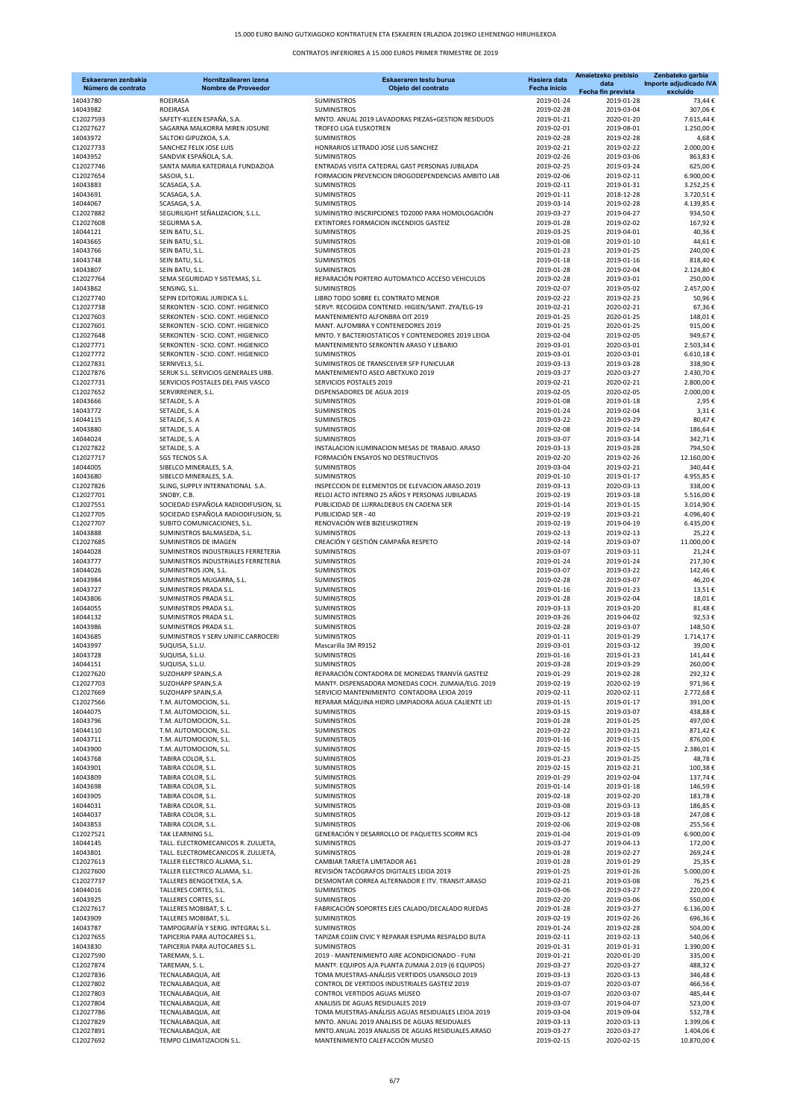| Eskaeraren zenbakia<br>Número de contrato | Hornitzailearen izena<br><b>Nombre de Proveedor</b>                        | Eskaeraren testu burua<br>Objeto del contrato                                                        | Hasiera data<br><b>Fecha inicio</b> | Amaietzeko prebisio<br>data<br>Fecha fin prevista | Zenbateko garbia<br>Importe adjudicado IVA<br>excluído |
|-------------------------------------------|----------------------------------------------------------------------------|------------------------------------------------------------------------------------------------------|-------------------------------------|---------------------------------------------------|--------------------------------------------------------|
| 14043780                                  | ROEIRASA                                                                   | <b>SUMINISTROS</b>                                                                                   | 2019-01-24                          | 2019-01-28                                        | 73,44€                                                 |
| 14043982                                  | ROEIRASA                                                                   | <b>SUMINISTROS</b>                                                                                   | 2019-02-28                          | 2019-03-04                                        | 307,06€                                                |
| C12027593<br>C12027627                    | SAFETY-KLEEN ESPAÑA, S.A.<br>SAGARNA MALKORRA MIREN JOSUNE                 | MNTO. ANUAL 2019 LAVADORAS PIEZAS+GESTION RESIDUOS<br>TROFEO LIGA EUSKOTREN                          | 2019-01-21<br>2019-02-01            | 2020-01-20<br>2019-08-01                          | 7.615,44 €<br>1.250,00€                                |
| 14043972                                  | SALTOKI GIPUZKOA, S.A.                                                     | <b>SUMINISTROS</b>                                                                                   | 2019-02-28                          | 2019-02-28                                        | 4,68€                                                  |
| C12027733<br>14043952                     | SANCHEZ FELIX JOSE LUIS                                                    | HONRARIOS LETRADO JOSE LUIS SANCHEZ<br><b>SUMINISTROS</b>                                            | 2019-02-21<br>2019-02-26            | 2019-02-22<br>2019-03-06                          | 2.000,00€<br>863,83€                                   |
| C12027746                                 | SANDVIK ESPAÑOLA, S.A.<br>SANTA MARIA KATEDRALA FUNDAZIOA                  | ENTRADAS VISITA CATEDRAL GAST PERSONAS JUBILADA                                                      | 2019-02-25                          | 2019-03-24                                        | 625,00€                                                |
| C12027654                                 | SASOIA, S.L.                                                               | FORMACION PREVENCION DROGODEPENDENCIAS AMBITO LAB                                                    | 2019-02-06                          | 2019-02-11                                        | 6.900,00€                                              |
| 14043883<br>14043691                      | SCASAGA, S.A.<br>SCASAGA, S.A.                                             | <b>SUMINISTROS</b><br><b>SUMINISTROS</b>                                                             | 2019-02-11<br>2019-01-11            | 2019-01-31<br>2018-12-28                          | 3.252,25€<br>3.720,51€                                 |
| 14044067                                  | SCASAGA, S.A.                                                              | <b>SUMINISTROS</b>                                                                                   | 2019-03-14                          | 2019-02-28                                        | 4.139,85€                                              |
| C12027882                                 | SEGURILIGHT SEÑALIZACION, S.L.L.                                           | SUMINISTRO INSCRIPCIONES TD2000 PARA HOMOLOGACIÓN                                                    | 2019-03-27                          | 2019-04-27                                        | 934,50€                                                |
| C12027608<br>14044121                     | SEGURMA S.A.<br>SEIN BATU, S.L.                                            | EXTINTORES FORMACION INCENDIOS GASTEIZ<br><b>SUMINISTROS</b>                                         | 2019-01-28<br>2019-03-25            | 2019-02-02<br>2019-04-01                          | 167,92€<br>40,36€                                      |
| 14043665                                  | SEIN BATU, S.L.                                                            | <b>SUMINISTROS</b>                                                                                   | 2019-01-08                          | 2019-01-10                                        | 44,61€                                                 |
| 14043766                                  | SEIN BATU, S.L.                                                            | SUMINISTROS                                                                                          | 2019-01-23                          | 2019-01-25                                        | 240,00€                                                |
| 14043748<br>14043807                      | SEIN BATU, S.L.<br>SEIN BATU, S.L.                                         | <b>SUMINISTROS</b><br><b>SUMINISTROS</b>                                                             | 2019-01-18<br>2019-01-28            | 2019-01-16<br>2019-02-04                          | 818,40€<br>2.124,80€                                   |
| C12027764                                 | SEMA SEGURIDAD Y SISTEMAS, S.L.                                            | REPARACIÓN PORTERO AUTOMATICO ACCESO VEHICULOS                                                       | 2019-02-28                          | 2019-03-01                                        | 250,00€                                                |
| 14043862                                  | SENSING, S.L.                                                              | <b>SUMINISTROS</b>                                                                                   | 2019-02-07                          | 2019-05-02                                        | 2.457,00€                                              |
| C12027740<br>C12027738                    | SEPIN EDITORIAL JURIDICA S.L.<br>SERKONTEN - SCIO. CONT. HIGIENICO         | LIBRO TODO SOBRE EL CONTRATO MENOR<br>SERVº. RECOGIDA CONTENED. HIGIEN/SANIT. ZYA/ELG-19             | 2019-02-22<br>2019-02-21            | 2019-02-23<br>2020-02-21                          | 50,96€<br>67,36€                                       |
| C12027603                                 | SERKONTEN - SCIO. CONT. HIGIENICO                                          | MANTENIMIENTO ALFONBRA OIT 2019                                                                      | 2019-01-25                          | 2020-01-25                                        | 148,01€                                                |
| C12027601                                 | SERKONTEN - SCIO. CONT. HIGIENICO                                          | MANT. ALFOMBRA Y CONTENEDORES 2019<br>MNTO, Y BACTERIOSTATICOS Y CONTENEDORES 2019 LEIOA             | 2019-01-25                          | 2020-01-25                                        | 915,00€                                                |
| C12027648<br>C12027771                    | SERKONTEN - SCIO. CONT. HIGIENICO<br>SERKONTEN - SCIO. CONT. HIGIENICO     | MANTENIMIENTO SERKONTEN ARASO Y LEBARIO                                                              | 2019-02-04<br>2019-03-01            | 2019-02-05<br>2020-03-01                          | 949,67€<br>2.503,34 €                                  |
| C12027772                                 | SERKONTEN - SCIO. CONT. HIGIENICO                                          | <b>SUMINISTROS</b>                                                                                   | 2019-03-01                          | 2020-03-01                                        | 6.610,18€                                              |
| C12027831                                 | SERNIVEL3, S.L.                                                            | SUMINISTROS DE TRANSCEIVER SFP FUNICULAR                                                             | 2019-03-13                          | 2019-03-28                                        | 338,90€                                                |
| C12027876<br>C12027731                    | SERUK S.L. SERVICIOS GENERALES URB.<br>SERVICIOS POSTALES DEL PAIS VASCO   | MANTENIMIENTO ASEO ABETXUKO 2019<br>SERVICIOS POSTALES 2019                                          | 2019-03-27<br>2019-02-21            | 2020-03-27<br>2020-02-21                          | 2.430,70€<br>2.800,00€                                 |
| C12027652                                 | SERVIRREINER, S.L.                                                         | DISPENSADORES DE AGUA 2019                                                                           | 2019-02-05                          | 2020-02-05                                        | 2.000,00€                                              |
| 14043666                                  | SETALDE, S. A                                                              | <b>SUMINISTROS</b>                                                                                   | 2019-01-08                          | 2019-01-18                                        | 2,95€                                                  |
| 14043772<br>14044115                      | SETALDE, S. A<br>SETALDE, S. A                                             | SUMINISTROS<br>SUMINISTROS                                                                           | 2019-01-24<br>2019-03-22            | 2019-02-04<br>2019-03-29                          | 3,31€<br>80,47€                                        |
| 14043880                                  | SETALDE, S. A                                                              | <b>SUMINISTROS</b>                                                                                   | 2019-02-08                          | 2019-02-14                                        | 186,64€                                                |
| 14044024                                  | SETALDE, S. A                                                              | <b>SUMINISTROS</b>                                                                                   | 2019-03-07                          | 2019-03-14                                        | 342,71€                                                |
| C12027822<br>C12027717                    | SETALDE, S. A<br>SGS TECNOS S.A.                                           | INSTALACION ILUMINACION MESAS DE TRABAJO. ARASO<br>FORMACIÓN ENSAYOS NO DESTRUCTIVOS                 | 2019-03-13<br>2019-02-20            | 2019-03-28<br>2019-02-26                          | 794,50€<br>12.160,00€                                  |
| 14044005                                  | SIBELCO MINERALES, S.A.                                                    | <b>SUMINISTROS</b>                                                                                   | 2019-03-04                          | 2019-02-21                                        | 340,44€                                                |
| 14043680                                  | SIBELCO MINERALES, S.A.                                                    | <b>SUMINISTROS</b>                                                                                   | 2019-01-10                          | 2019-01-17                                        | 4.955,85€                                              |
| C12027826<br>C12027701                    | SLING, SUPPLY INTERNATIONAL S.A.<br>SNOBY, C.B.                            | INSPECCION DE ELEMENTOS DE ELEVACION.ARASO.2019<br>RELOJ ACTO INTERNO 25 AÑOS Y PERSONAS JUBILADAS   | 2019-03-13<br>2019-02-19            | 2020-03-13<br>2019-03-18                          | 338,00€<br>5.516,00€                                   |
| C12027551                                 | SOCIEDAD ESPAÑOLA RADIODIFUSION, SL                                        | PUBLICIDAD DE LURRALDEBUS EN CADENA SER                                                              | 2019-01-14                          | 2019-01-15                                        | 3.014,90€                                              |
| C12027705                                 | SOCIEDAD ESPAÑOLA RADIODIFUSION, SL                                        | PUBLICIDAD SER - 40                                                                                  | 2019-02-19                          | 2019-03-21                                        | 4.096,40€                                              |
| C12027707<br>14043888                     | SUBITO COMUNICACIONES, S.L.<br>SUMINISTROS BALMASEDA, S.L.                 | RENOVACIÓN WEB BIZIEUSKOTREN<br><b>SUMINISTROS</b>                                                   | 2019-02-19<br>2019-02-13            | 2019-04-19<br>2019-02-13                          | 6.435,00€<br>25,22€                                    |
| C12027685                                 | SUMINISTROS DE IMAGEN                                                      | CREACIÓN Y GESTIÓN CAMPAÑA RESPETO                                                                   | 2019-02-14                          | 2019-03-07                                        | 11.000,00€                                             |
| 14044028                                  | SUMINISTROS INDUSTRIALES FERRETERIA<br>SUMINISTROS INDUSTRIALES FERRETERIA | <b>SUMINISTROS</b><br><b>SUMINISTROS</b>                                                             | 2019-03-07                          | 2019-03-11                                        | 21,24€<br>217,30€                                      |
| 14043777<br>14044026                      | SUMINISTROS JON, S.L.                                                      | <b>SUMINISTROS</b>                                                                                   | 2019-01-24<br>2019-03-07            | 2019-01-24<br>2019-03-22                          | 142,46€                                                |
| 14043984                                  | SUMINISTROS MUGARRA, S.L.                                                  | <b>SUMINISTROS</b>                                                                                   | 2019-02-28                          | 2019-03-07                                        | 46,20€                                                 |
| 14043727<br>14043806                      | SUMINISTROS PRADA S.L.<br>SUMINISTROS PRADA S.L.                           | SUMINISTROS<br><b>SUMINISTROS</b>                                                                    | 2019-01-16<br>2019-01-28            | 2019-01-23<br>2019-02-04                          | 13,51€<br>18,01€                                       |
| 14044055                                  | SUMINISTROS PRADA S.L.                                                     | <b>SUMINISTROS</b>                                                                                   | 2019-03-13                          | 2019-03-20                                        | 81,48€                                                 |
| 14044132                                  | SUMINISTROS PRADA S.L.                                                     | <b>SUMINISTROS</b>                                                                                   | 2019-03-26                          | 2019-04-02                                        | 92,53€                                                 |
| 14043986<br>14043685                      | SUMINISTROS PRADA S.L.<br>SUMINISTROS Y SERV.UNIFIC.CARROCERI              | <b>SUMINISTROS</b><br><b>SUMINISTROS</b>                                                             | 2019-02-28<br>2019-01-11            | 2019-03-07<br>2019-01-29                          | 148,50€<br>1.714,17€                                   |
| 14043997                                  | SUQUISA, S.L.U.                                                            | Mascarilla 3M R9152                                                                                  | 2019-03-01                          | 2019-03-12                                        | 39,00€                                                 |
| 14043728                                  | SUQUISA, S.L.U.                                                            | <b>SUMINISTROS</b>                                                                                   | 2019-01-16                          | 2019-01-23                                        | 141,44€                                                |
| 14044151<br>C12027620                     | SUQUISA, S.L.U.<br>SUZOHAPP SPAIN, S.A                                     | <b>SUMINISTROS</b><br>REPARACIÓN CONTADORA DE MONEDAS TRANVÍA GASTEIZ                                | 2019-03-28<br>2019-01-29            | 2019-03-29<br>2019-02-28                          | 260,00€<br>292,32€                                     |
| C12027703                                 | SUZOHAPP SPAIN, S.A                                                        | MANTº. DISPENSADORA MONEDAS COCH. ZUMAIA/ELG. 2019                                                   | 2019-02-19                          | 2020-02-19                                        | 971,96€                                                |
| C12027669                                 | SUZOHAPP SPAIN, S.A                                                        | SERVICIO MANTENIMIENTO CONTADORA LEIOA 2019                                                          | 2019-02-11                          | 2020-02-11                                        | 2.772,68€                                              |
| C12027566<br>14044075                     | T.M. AUTOMOCION, S.L.<br>T.M. AUTOMOCION, S.L.                             | REPARAR MÁQUINA HIDRO LIMPIADORA AGUA CALIENTE LEI<br><b>SUMINISTROS</b>                             | 2019-01-15<br>2019-03-15            | 2019-01-17<br>2019-03-07                          | 391.00€<br>438,88€                                     |
| 14043796                                  | T.M. AUTOMOCION, S.L.                                                      | <b>SUMINISTROS</b>                                                                                   | 2019-01-28                          | 2019-01-25                                        | 497,00€                                                |
| 14044110                                  | T.M. AUTOMOCION, S.L.                                                      | <b>SUMINISTROS</b>                                                                                   | 2019-03-22                          | 2019-03-21                                        | 871,42€                                                |
| 14043711<br>14043900                      | T.M. AUTOMOCION, S.L.<br>T.M. AUTOMOCION, S.L.                             | SUMINISTROS<br><b>SUMINISTROS</b>                                                                    | 2019-01-16<br>2019-02-15            | 2019-01-15<br>2019-02-15                          | 876,00€<br>2.386,01€                                   |
| 14043768                                  | TABIRA COLOR, S.L.                                                         | SUMINISTROS                                                                                          | 2019-01-23                          | 2019-01-25                                        | 48,78€                                                 |
| 14043901<br>14043809                      | TABIRA COLOR, S.L.<br>TABIRA COLOR, S.L.                                   | SUMINISTROS<br><b>SUMINISTROS</b>                                                                    | 2019-02-15<br>2019-01-29            | 2019-02-21<br>2019-02-04                          | 100,38€<br>137,74€                                     |
| 14043698                                  | TABIRA COLOR, S.L.                                                         | <b>SUMINISTROS</b>                                                                                   | 2019-01-14                          | 2019-01-18                                        | 146,59€                                                |
| 14043905                                  | TABIRA COLOR, S.L.                                                         | <b>SUMINISTROS</b>                                                                                   | 2019-02-18                          | 2019-02-20                                        | 183,78€                                                |
| 14044031<br>14044037                      | TABIRA COLOR, S.L.<br>TABIRA COLOR, S.L.                                   | <b>SUMINISTROS</b><br><b>SUMINISTROS</b>                                                             | 2019-03-08<br>2019-03-12            | 2019-03-13<br>2019-03-18                          | 186,85€<br>247,08€                                     |
| 14043853                                  | TABIRA COLOR, S.L.                                                         | SUMINISTROS                                                                                          | 2019-02-06                          | 2019-02-08                                        | 255,56€                                                |
| C12027521                                 | TAK LEARNING S.L.                                                          | GENERACIÓN Y DESARROLLO DE PAQUETES SCORM RCS                                                        | 2019-01-04                          | 2019-01-09                                        | 6.900,00€                                              |
| 14044145<br>14043801                      | TALL. ELECTROMECANICOS R. ZULUETA,<br>TALL. ELECTROMECANICOS R. ZULUETA,   | <b>SUMINISTROS</b><br><b>SUMINISTROS</b>                                                             | 2019-03-27<br>2019-01-28            | 2019-04-13<br>2019-02-27                          | 172,00€<br>269,24€                                     |
| C12027613                                 | TALLER ELECTRICO ALJAMA, S.L.                                              | CAMBIAR TARJETA LIMITADOR A61                                                                        | 2019-01-28                          | 2019-01-29                                        | 25,35€                                                 |
| C12027600                                 | TALLER ELECTRICO ALJAMA, S.L.                                              | REVISIÓN TACÓGRAFOS DIGITALES LEIOA 2019                                                             | 2019-01-25                          | 2019-01-26                                        | 5.000,00€                                              |
| C12027737<br>14044016                     | TALLERES BENGOETXEA, S.A.<br>TALLERES CORTES, S.L.                         | DESMONTAR CORREA ALTERNADOR E ITV. TRANSIT.ARASO<br><b>SUMINISTROS</b>                               | 2019-02-21<br>2019-03-06            | 2019-03-08<br>2019-03-27                          | 76,25€<br>220,00€                                      |
| 14043925                                  | TALLERES CORTES, S.L.                                                      | SUMINISTROS                                                                                          | 2019-02-20                          | 2019-03-06                                        | 550,00€                                                |
| C12027617                                 | TALLERES MOBIBAT, S. L.                                                    | FABRICACIÓN SOPORTES EJES CALADO/DECALADO RUEDAS                                                     | 2019-01-28                          | 2019-03-27                                        | 6.136,00€                                              |
| 14043909<br>14043787                      | TALLERES MOBIBAT, S.L.<br>TAMPOGRAFÍA Y SERIG. INTEGRAL S.L.               | <b>SUMINISTROS</b><br>SUMINISTROS                                                                    | 2019-02-19<br>2019-01-24            | 2019-02-26<br>2019-02-28                          | 696,36€<br>504,00€                                     |
| C12027655                                 | TAPICERIA PARA AUTOCARES S.L.                                              | TAPIZAR COJIN CIVIC Y REPARAR ESPUMA RESPALDO BUTA                                                   | 2019-02-11                          | 2019-02-13                                        | 540,06€                                                |
| 14043830                                  | TAPICERIA PARA AUTOCARES S.L.                                              | <b>SUMINISTROS</b>                                                                                   | 2019-01-31                          | 2019-01-31                                        | 1.390,00€                                              |
| C12027590<br>C12027874                    | TAREMAN, S. L.<br>TAREMAN, S. L.                                           | 2019 - MANTENIMIENTO AIRE ACONDICIONADO - FUNI<br>MANTº. EQUIPOS A/A PLANTA ZUMAIA 2.019 (6 EQUIPOS) | 2019-01-21<br>2019-03-27            | 2020-01-20<br>2020-03-27                          | 335,00€<br>488,32€                                     |
| C12027836                                 | TECNALABAQUA, AIE                                                          | TOMA MUESTRAS-ANÁLISIS VERTIDOS USANSOLO 2019                                                        | 2019-03-13                          | 2020-03-13                                        | 346,48€                                                |
| C12027802                                 | TECNALABAQUA, AIE                                                          | CONTROL DE VERTIDOS INDUSTRIALES GASTEIZ 2019                                                        | 2019-03-07                          | 2020-03-07                                        | 466,56€                                                |
| C12027803<br>C12027804                    | TECNALABAQUA, AIE<br>TECNALABAQUA, AIE                                     | CONTROL VERTIDOS AGUAS MUSEO<br>ANALISIS DE AGUAS RESIDUALES 2019                                    | 2019-03-07<br>2019-03-07            | 2020-03-07<br>2019-04-07                          | 485,44€<br>523,00€                                     |
| C12027786                                 | TECNALABAQUA, AIE                                                          | TOMA MUESTRAS-ANÁLISIS AGUAS RESIDUALES LEIOA 2019                                                   | 2019-03-04                          | 2019-09-04                                        | 532,78€                                                |
| C12027829                                 | TECNALABAQUA, AIE                                                          | MNTO. ANUAL 2019 ANALISIS DE AGUAS RESIDUALES                                                        | 2019-03-13                          | 2020-03-13                                        | 1.399,06€                                              |
| C12027891<br>C12027692                    | TECNALABAQUA, AIE<br>TEMPO CLIMATIZACION S.L.                              | MNTO.ANUAL 2019 ANALISIS DE AGUAS RESIDUALES.ARASO<br>MANTENIMIENTO CALEFACCIÓN MUSEO                | 2019-03-27<br>2019-02-15            | 2020-03-27<br>2020-02-15                          | 1.404,06€<br>10.870,00€                                |